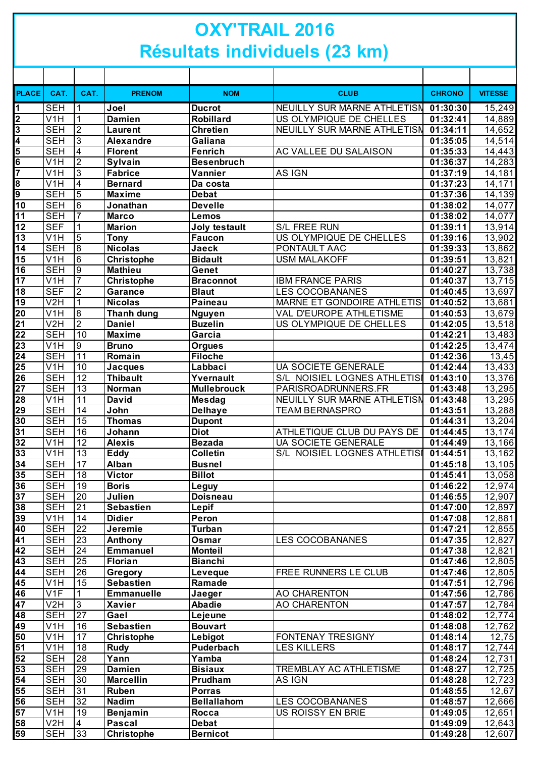## **OXY'TRAIL 2016 Résultats individuels (23 km)**

| <b>PLACE</b>                       | CAT.                     | CAT.                      | <b>PRENOM</b>                 | <b>NOM</b>             | <b>CLUB</b>                     | <b>CHRONO</b>        | <b>VITESSE</b>   |
|------------------------------------|--------------------------|---------------------------|-------------------------------|------------------------|---------------------------------|----------------------|------------------|
| 1                                  | <b>SEH</b>               | 1                         | Joel                          | <b>Ducrot</b>          | NEUILLY SUR MARNE ATHLETISN     | 01:30:30             | 15,249           |
| 2                                  | V <sub>1</sub> H         | 1                         | <b>Damien</b>                 | Robillard              | US OLYMPIQUE DE CHELLES         | 01:32:41             | 14,889           |
| 3                                  | <b>SEH</b>               | $\overline{2}$            | <b>Laurent</b>                | <b>Chretien</b>        | NEUILLY SUR MARNE ATHLETISN     | 01:34:11             | 14,652           |
| 4                                  | <b>SEH</b>               | $\overline{3}$            | <b>Alexandre</b>              | Galiana                |                                 | 01:35:05             | 14,514           |
| 5                                  | <b>SEH</b>               | $\overline{4}$            | <b>Florent</b>                | <b>Fenrich</b>         | AC VALLEE DU SALAISON           | 01:35:33             | 14,443           |
| 6                                  | V <sub>1</sub> H         | $\overline{2}$            | Sylvain                       | <b>Besenbruch</b>      |                                 | 01:36:37             | 14,283           |
| 7                                  | V <sub>1</sub> H         | $\ensuremath{\mathsf{3}}$ | <b>Fabrice</b>                | Vannier                | AS IGN                          | 01:37:19             | 14,181           |
| 8                                  | V <sub>1</sub> H         | $\overline{\mathbf{4}}$   | <b>Bernard</b>                | Da costa               |                                 | 01:37:23             | 14,171           |
| 9                                  | <b>SEH</b>               | $\overline{5}$            | <b>Maxime</b>                 | <b>Debat</b>           |                                 | 01:37:36             | 14,139           |
| $\overline{10}$<br>$\overline{11}$ | <b>SEH</b><br><b>SEH</b> | 6<br>7                    | Jonathan                      | <b>Develle</b>         |                                 | 01:38:02             | 14,077           |
| 12                                 | <b>SEF</b>               |                           | <b>Marco</b><br><b>Marion</b> | Lemos<br>Joly testault | S/L FREE RUN                    | 01:38:02<br>01:39:11 | 14,077<br>13,914 |
| 13                                 | V1H                      | 5                         | <b>Tony</b>                   | <b>Faucon</b>          | US OLYMPIQUE DE CHELLES         | 01:39:16             | 13,902           |
| 14                                 | <b>SEH</b>               | $\overline{8}$            | <b>Nicolas</b>                | Jaeck                  | PONTAULT AAC                    | 01:39:33             | 13,862           |
| $\overline{15}$                    | V <sub>1</sub> H         | 6                         | <b>Christophe</b>             | <b>Bidault</b>         | <b>USM MALAKOFF</b>             | 01:39:51             | 13,821           |
| 16                                 | <b>SEH</b>               | $\overline{9}$            | <b>Mathieu</b>                | Genet                  |                                 | 01:40:27             | 13,738           |
| $\overline{17}$                    | V1H                      | 7                         | <b>Christophe</b>             | <b>Braconnot</b>       | <b>IBM FRANCE PARIS</b>         | 01:40:37             | 13,715           |
| 18                                 | <b>SEF</b>               | $\boldsymbol{2}$          | <b>Garance</b>                | <b>Blaut</b>           | <b>LES COCOBANANES</b>          | 01:40:45             | 13,697           |
| 19                                 | V2H                      | 1                         | <b>Nicolas</b>                | <b>Paineau</b>         | MARNE ET GONDOIRE ATHLETIS      | 01:40:52             | 13,681           |
| $\overline{20}$                    | V <sub>1</sub> H         | œ                         | <b>Thanh dung</b>             | <b>Nguyen</b>          | VAL D'EUROPE ATHLETISME         | 01:40:53             | 13,679           |
| $\overline{21}$                    | V2H                      | $\overline{2}$            | <b>Daniel</b>                 | <b>Buzelin</b>         | US OLYMPIQUE DE CHELLES         | 01:42:05             | 13,518           |
| 22                                 | <b>SEH</b>               | 10                        | <b>Maxime</b>                 | Garcia                 |                                 | 01:42:21             | 13,483           |
| 23                                 | V1H                      | $\overline{9}$            | <b>Bruno</b>                  | <b>Orgues</b>          |                                 | 01:42:25             | 13,474           |
| 24                                 | <b>SEH</b>               | 11                        | Romain                        | <b>Filoche</b>         |                                 | 01:42:36             | 13,45            |
| 25                                 | V <sub>1</sub> H         | 10                        | <b>Jacques</b>                | Labbaci                | UA SOCIETE GENERALE             | 01:42:44             | 13,433           |
| $\overline{26}$                    | <b>SEH</b>               | $\overline{12}$           | <b>Thibault</b>               | Yvernault              | S/L NOISIEL LOGNES ATHLETISI    | 01:43:10             | 13,376           |
| $\overline{27}$                    | <b>SEH</b>               | $\overline{13}$           | Norman                        | <b>Mullebrouck</b>     | PARISROADRUNNERS.FR             | 01:43:48             | 13,295           |
| 28                                 | V <sub>1</sub> H         | 11                        | <b>David</b>                  | <b>Mesdag</b>          | NEUILLY SUR MARNE ATHLETISN     | 01:43:48             | 13,295           |
| $\overline{29}$                    | <b>SEH</b>               | 14                        | John                          | <b>Delhaye</b>         | <b>TEAM BERNASPRO</b>           | 01:43:51             | 13,288           |
| $\overline{30}$                    | <b>SEH</b>               | 15                        | <b>Thomas</b>                 | <b>Dupont</b>          |                                 | 01:44:31             | 13,204           |
| $\overline{31}$                    | <b>SEH</b>               | 16                        | Johann                        | <b>Diot</b>            | ATHLETIQUE CLUB DU PAYS DE      | 01:44:45             | 13,174           |
| $\overline{32}$                    | V1H                      | $\overline{12}$           | <b>Alexis</b>                 | <b>Bezada</b>          | <b>UA SOCIETE GENERALE</b>      | 01:44:49             | 13,166           |
| 33                                 | $\overline{V}$ 1H        | 13                        | <b>Eddy</b>                   | <b>Colletin</b>        | NOISIEL LOGNES ATHLETISI<br>S/L | 01:44:51             | 13,162           |
| $\overline{34}$                    | <b>SEH</b>               | $\overline{17}$           | Alban                         | <b>Busnel</b>          |                                 | 01:45:18             | 13,105           |
| 35                                 | <b>SEH</b>               | 18                        | <b>Victor</b>                 | <b>Billot</b>          |                                 | 01:45:41             | 13,058           |
| 36                                 | <b>SEH</b>               | 19                        | <b>Boris</b>                  | Leguy                  |                                 | 01:46:22             | 12,974           |
| $\overline{37}$                    | <b>SEH</b>               | 20                        | Julien                        | <b>Doisneau</b>        |                                 | 01:46:55             | 12,907           |
| 38                                 | <b>SEH</b>               | $\overline{21}$           | <b>Sebastien</b>              | Lepif                  |                                 | 01:47:00             | 12,897           |
| 39                                 | V <sub>1</sub> H         | 14                        | <b>Didier</b>                 | Peron                  |                                 | 01:47:08             | 12,881           |
| 40                                 | <b>SEH</b>               | $\overline{22}$           | Jeremie                       | <b>Turban</b>          |                                 | 01:47:21             | 12,855           |
| $\overline{41}$                    | <b>SEH</b>               | $\overline{23}$           | Anthony                       | Osmar                  | <b>LES COCOBANANES</b>          | 01:47:35             | 12,827           |
| 42                                 | <b>SEH</b>               | $\overline{24}$           | <b>Emmanuel</b>               | <b>Monteil</b>         |                                 | 01:47:38             | 12,821           |
| 43                                 | <b>SEH</b>               | 25                        | Florian                       | <b>Bianchi</b>         |                                 | 01:47:46             | 12,805           |
| 44                                 | <b>SEH</b>               | $\overline{26}$           | Gregory                       | Leveque                | FREE RUNNERS LE CLUB            | 01:47:46             | 12,805           |
| $\overline{45}$                    | V <sub>1</sub> H         | 15                        | <b>Sebastien</b>              | Ramade                 |                                 | 01:47:51             | 12,796           |
| 46                                 | V <sub>1F</sub>          | 1                         | <b>Emmanuelle</b>             | Jaeger                 | AO CHARENTON                    | 01:47:56             | 12,786           |
| 47                                 | V2H                      | $\sqrt{3}$                | <b>Xavier</b>                 | <b>Abadie</b>          | AO CHARENTON                    | 01:47:57             | 12,784           |
| 48                                 | <b>SEH</b>               | $\overline{27}$           | Gael                          | Lejeune                |                                 | 01:48:02             | 12,774           |
| 49                                 | V <sub>1</sub> H         | 16                        | <b>Sebastien</b>              | <b>Bouvart</b>         |                                 | 01:48:08             | 12,762           |
| $\overline{50}$                    | V <sub>1</sub> H         | 17                        | Christophe                    | Lebigot                | FONTENAY TRESIGNY               | 01:48:14             | 12,75            |
| $\overline{51}$                    | V <sub>1</sub> H         | 18                        | <b>Rudy</b>                   | Puderbach              | <b>LES KILLERS</b>              | 01:48:17             | 12,744           |
| $\overline{52}$                    | <b>SEH</b>               | 28                        | Yann                          | Yamba                  |                                 | 01:48:24             | 12,731           |
| $\overline{53}$                    | <b>SEH</b>               | 29                        | <b>Damien</b>                 | <b>Bisiaux</b>         | TREMBLAY AC ATHLETISME          | 01:48:27             | 12,725           |
| $\overline{54}$                    | <b>SEH</b>               | 30                        | <b>Marcellin</b>              | Prudham                | <b>AS IGN</b>                   | 01:48:28             | 12,723           |
| $\overline{55}$                    | <b>SEH</b>               | 31                        | <b>Ruben</b>                  | <b>Porras</b>          |                                 | 01:48:55             | 12,67            |
| $\overline{56}$                    | <b>SEH</b>               | $\overline{32}$           | Nadim                         | <b>Bellallahom</b>     | LES COCOBANANES                 | 01:48:57             | 12,666           |
| $\overline{57}$                    | $\overline{V}$ 1H        | 19                        | Benjamin                      | Rocca                  | US ROISSY EN BRIE               | 01:49:05             | 12,651           |
| $\overline{58}$                    | V2H                      | $\overline{4}$            | <b>Pascal</b>                 | <b>Debat</b>           |                                 | 01:49:09             | 12,643           |
| $\overline{59}$                    | <b>SEH</b>               | 33                        | <b>Christophe</b>             | <b>Bernicot</b>        |                                 | 01:49:28             | 12,607           |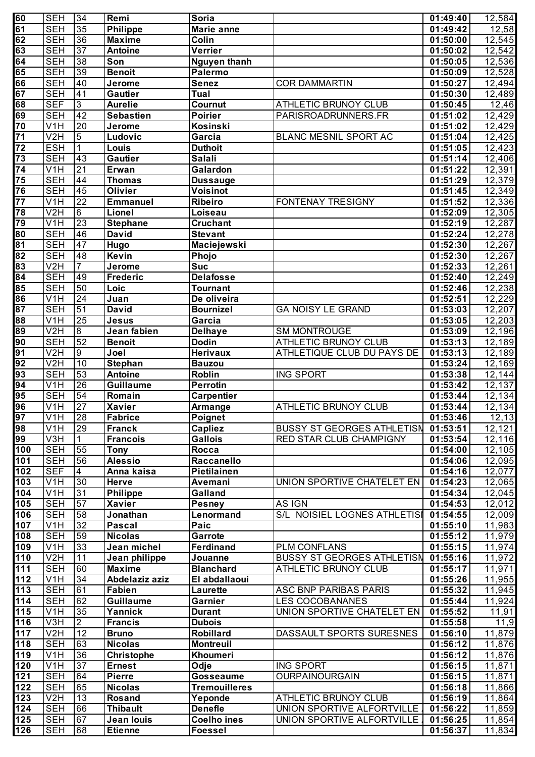| 60                         | <b>SEH</b>              | 34              | Remi              | Soria                |                                   | 01:49:40 | 12,584              |
|----------------------------|-------------------------|-----------------|-------------------|----------------------|-----------------------------------|----------|---------------------|
| 61                         | <b>SEH</b>              | 35              | <b>Philippe</b>   | <b>Marie anne</b>    |                                   | 01:49:42 | 12,58               |
| 62                         | <b>SEH</b>              | 36              | <b>Maxime</b>     | Colin                |                                   | 01:50:00 | 12,545              |
| 63                         | <b>SEH</b>              | 37              | <b>Antoine</b>    | Verrier              |                                   | 01:50:02 | 12,542              |
|                            |                         |                 |                   |                      |                                   |          |                     |
| 64                         | <b>SEH</b>              | 38              | Son               | <b>Nguyen thanh</b>  |                                   | 01:50:05 | 12,536              |
| 65                         | <b>SEH</b>              | 39              | <b>Benoit</b>     | Palermo              |                                   | 01:50:09 | 12,528              |
| 66                         | <b>SEH</b>              | 40              | Jerome            | <b>Senez</b>         | <b>COR DAMMARTIN</b>              | 01:50:27 | 12,494              |
| 67                         | <b>SEH</b>              | 41              | <b>Gautier</b>    | Tual                 |                                   | 01:50:30 | 12,489              |
| 68                         | <b>SEF</b>              | $\overline{3}$  | <b>Aurelie</b>    | Cournut              | ATHLETIC BRUNOY CLUB              | 01:50:45 | 12,46               |
| 69                         | <b>SEH</b>              | 42              | <b>Sebastien</b>  | <b>Poirier</b>       | PARISROADRUNNERS.FR               | 01:51:02 | 12,429              |
| $\overline{70}$            | V <sub>1</sub> H        | $\overline{20}$ | Jerome            | Kosinski             |                                   | 01:51:02 | 12,429              |
| $\overline{71}$            | V2H                     | $5\overline{)}$ | Ludovic           | Garcia               | BLANC MESNIL SPORT AC             |          |                     |
|                            |                         |                 |                   |                      |                                   | 01:51:04 | 12,425              |
| $\overline{72}$            | <b>ESH</b>              | $\mathbf{1}$    | Louis             | <b>Duthoit</b>       |                                   | 01:51:05 | 12,423              |
| $\overline{73}$            | <b>SEH</b>              | 43              | <b>Gautier</b>    | <b>Salali</b>        |                                   | 01:51:14 | 12,406              |
| 74                         | V <sub>1</sub> H        | $\overline{21}$ | Erwan             | Galardon             |                                   | 01:51:22 | 12,391              |
| $\overline{75}$            | <b>SEH</b>              | 44              | Thomas            | <b>Dussauge</b>      |                                   | 01:51:29 | 12,379              |
| $\overline{76}$            | <b>SEH</b>              | 45              | <b>Olivier</b>    | Voisinot             |                                   | 01:51:45 | 12,349              |
| $\overline{77}$            | V <sub>1</sub> H        | $\overline{22}$ | <b>Emmanuel</b>   | <b>Ribeiro</b>       | <b>FONTENAY TRESIGNY</b>          | 01:51:52 | 12,336              |
| 78                         | V2H                     | $\overline{6}$  | Lionel            | Loiseau              |                                   | 01:52:09 | 12,305              |
| 79                         | V <sub>1</sub> H        | 23              | <b>Stephane</b>   | <b>Cruchant</b>      |                                   | 01:52:19 | 12,287              |
|                            |                         |                 |                   |                      |                                   |          |                     |
| 80                         | <b>SEH</b>              | 46              | <b>David</b>      | <b>Stevant</b>       |                                   | 01:52:24 | 12,278              |
| $\overline{81}$            | <b>SEH</b>              | $\overline{47}$ | Hugo              | <b>Maciejewski</b>   |                                   | 01:52:30 | 12,267              |
| $\overline{82}$            | <b>SEH</b>              | 48              | Kevin             | Phojo                |                                   | 01:52:30 | 12,267              |
| 83                         | V <sub>2</sub> H        | $\overline{7}$  | Jerome            | <b>Suc</b>           |                                   | 01:52:33 | 12,261              |
| 84                         | <b>SEH</b>              | 49              | <b>Frederic</b>   | <b>Delafosse</b>     |                                   | 01:52:40 | 12,249              |
| 85                         | <b>SEH</b>              | 50              | Loic              | <b>Tournant</b>      |                                   | 01:52:46 | 12,238              |
| 86                         | V <sub>1</sub> H        | $\overline{24}$ | Juan              | De oliveira          |                                   | 01:52:51 | 12,229              |
| $\overline{\overline{87}}$ | <b>SEH</b>              | 51              | <b>David</b>      | <b>Bournizel</b>     | <b>GA NOISY LE GRAND</b>          | 01:53:03 | 12,207              |
|                            |                         |                 |                   |                      |                                   |          |                     |
| 88                         | V <sub>1</sub> H        | $\overline{25}$ | Jesus             | Garcia               |                                   | 01:53:05 | 12,203              |
| 89                         | V2H                     | œ               | Jean fabien       | <b>Delhaye</b>       | <b>SM MONTROUGE</b>               | 01:53:09 | 12,196              |
| $\overline{90}$            | <b>SEH</b>              | 52              | <b>Benoit</b>     | <b>Dodin</b>         | <b>ATHLETIC BRUNOY CLUB</b>       | 01:53:13 | 12,189              |
| $\overline{91}$            | $\overline{V2H}$        | $\overline{9}$  | Joel              | <b>Herivaux</b>      | ATHLETIQUE CLUB DU PAYS DE        | 01:53:13 | 12,189              |
| $\overline{92}$            | V <sub>2</sub> H        | $\overline{10}$ | <b>Stephan</b>    | <b>Bauzou</b>        |                                   | 01:53:24 | 12,169              |
| $\overline{93}$            | <b>SEH</b>              | 53              | <b>Antoine</b>    | Roblin               | <b>ING SPORT</b>                  | 01:53:38 | 12,144              |
| 94                         | $\overline{\text{V1H}}$ | 26              | <b>Guillaume</b>  | <b>Perrotin</b>      |                                   | 01:53:42 | $\overline{12,137}$ |
| 95                         | <b>SEH</b>              | 54              | Romain            | <b>Carpentier</b>    |                                   | 01:53:44 | 12,134              |
| 96                         | $\overline{\text{V1H}}$ | $\overline{27}$ |                   |                      |                                   |          |                     |
|                            |                         |                 | <b>Xavier</b>     | <b>Armange</b>       | <b>ATHLETIC BRUNOY CLUB</b>       | 01:53:44 | $\overline{12,}134$ |
| 97                         | V1H                     | 28              | <b>Fabrice</b>    | Poignet              |                                   | 01:53:46 | 12, 13              |
| 98                         | V <sub>1</sub> H        | 29              | <b>Franck</b>     | <b>Capliez</b>       | <b>BUSSY ST GEORGES ATHLETISN</b> | 01:53:51 | 12,121              |
| 99                         | V3H                     |                 | <b>Francois</b>   | <b>Gallois</b>       | RED STAR CLUB CHAMPIGNY           | 01:53:54 | 12,116              |
| 100                        | <b>SEH</b>              | 55              | <b>Tony</b>       | Rocca                |                                   | 01:54:00 | 12,105              |
| 101                        | <b>SEH</b>              | 56              | <b>Alessio</b>    | Raccanello           |                                   | 01:54:06 | 12,095              |
| 102                        | <b>SEF</b>              | 4               | Anna kaisa        | Pietilainen          |                                   | 01:54:16 | 12,077              |
| 103                        | V <sub>1</sub> H        | $\overline{30}$ | <b>Herve</b>      | Avemani              | UNION SPORTIVE CHATELET EN        | 01:54:23 | 12,065              |
| 104                        | V <sub>1</sub> H        | $\overline{31}$ | <b>Philippe</b>   | <b>Galland</b>       |                                   | 01:54:34 | 12,045              |
|                            |                         | 57              |                   |                      |                                   |          |                     |
| 105                        | <b>SEH</b>              |                 | <b>Xavier</b>     | <b>Pesney</b>        | AS IGN                            | 01:54:53 | 12,012              |
| 106                        | <b>SEH</b>              | 58              | Jonathan          | Lenormand            | S/L NOISIEL LOGNES ATHLETISI      | 01:54:55 | 12,009              |
| 107                        | V <sub>1</sub> H        | $\overline{32}$ | <b>Pascal</b>     | Paic                 |                                   | 01:55:10 | 11,983              |
| 108                        | <b>SEH</b>              | 59              | <b>Nicolas</b>    | Garrote              |                                   | 01:55:12 | 11,979              |
| 109                        | V <sub>1</sub> H        | $\overline{33}$ | Jean michel       | Ferdinand            | <b>PLM CONFLANS</b>               | 01:55:15 | 11,974              |
| 110                        | V <sub>2</sub> H        | $\overline{11}$ | Jean philippe     | Jouanne              | <b>BUSSY ST GEORGES ATHLETISN</b> | 01:55:16 | 11,972              |
| 111                        | <b>SEH</b>              | 60              | <b>Maxime</b>     | <b>Blanchard</b>     | ATHLETIC BRUNOY CLUB              | 01:55:17 | 11,971              |
| $\overline{112}$           | V <sub>1</sub> H        | 34              | Abdelaziz aziz    | El abdallaoui        |                                   | 01:55:26 | 11,955              |
| 113                        | <b>SEH</b>              | 61              | <b>Fabien</b>     | Laurette             | ASC BNP PARIBAS PARIS             | 01:55:32 | 11,945              |
|                            |                         |                 |                   |                      |                                   |          |                     |
| 114                        | <b>SEH</b>              | 62              | <b>Guillaume</b>  | Garnier              | <b>LES COCOBANANES</b>            | 01:55:44 | 11,924              |
| 115                        | V <sub>1</sub> H        | 35              | Yannick           | <b>Durant</b>        | UNION SPORTIVE CHATELET EN        | 01:55:52 | 11,91               |
| 116                        | V3H                     | $\overline{2}$  | <b>Francis</b>    | <b>Dubois</b>        |                                   | 01:55:58 | 11,9                |
| 117                        | V2H                     | 12              | <b>Bruno</b>      | Robillard            | DASSAULT SPORTS SURESNES          | 01:56:10 | 11,879              |
| 118                        | <b>SEH</b>              | 63              | <b>Nicolas</b>    | <b>Montreuil</b>     |                                   | 01:56:12 | 11,876              |
| 119                        | V <sub>1</sub> H        | 36              | <b>Christophe</b> | Khoumeri             |                                   | 01:56:12 | 11,876              |
| 120                        | V1H                     | 37              | <b>Ernest</b>     | Odje                 | <b>ING SPORT</b>                  | 01:56:15 | 11,871              |
| 121                        | <b>SEH</b>              | 64              | <b>Pierre</b>     | <b>Gosseaume</b>     | <b>OURPAINOURGAIN</b>             | 01:56:15 | 11,871              |
| 122                        | <b>SEH</b>              | 65              | <b>Nicolas</b>    | <b>Tremouilleres</b> |                                   | 01:56:18 | 11,866              |
|                            |                         |                 |                   |                      |                                   |          |                     |
| 123                        | V <sub>2</sub> H        | 13              | <b>Rosand</b>     | Yeponde              | ATHLETIC BRUNOY CLUB              | 01:56:19 | 11,864              |
| 124                        | <b>SEH</b>              | 66              | <b>Thibault</b>   | <b>Denefle</b>       | UNION SPORTIVE ALFORTVILLE        | 01:56:22 | 11,859              |
| 125                        | <b>SEH</b>              | 67              | Jean louis        | <b>Coelho ines</b>   | UNION SPORTIVE ALFORTVILLE        | 01:56:25 | 11,854              |
| 126                        | <b>SEH</b>              | 68              | <b>Etienne</b>    | <b>Foessel</b>       |                                   | 01:56:37 | 11,834              |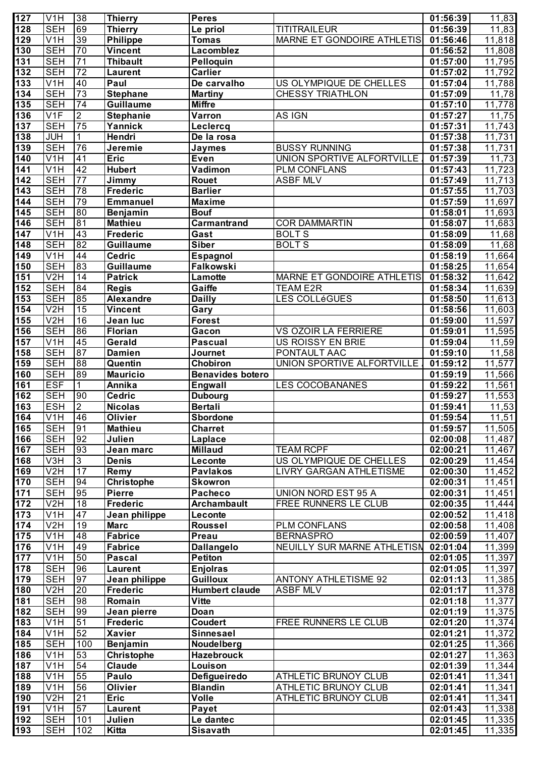| $\overline{127}$ | V1H                            | 38                    | <b>Thierry</b>                   | Peres                                 |                                                    | 01:56:39             | 11,83               |
|------------------|--------------------------------|-----------------------|----------------------------------|---------------------------------------|----------------------------------------------------|----------------------|---------------------|
| 128              | <b>SEH</b>                     | 69                    | Thierry                          | Le priol                              | <b>TITITRAILEUR</b>                                | 01:56:39             | 11,83               |
| 129              | V1H                            | 39                    | <b>Philippe</b>                  | <b>Tomas</b>                          | MARNE ET GONDOIRE ATHLETIS                         | 01:56:46             | 11,818              |
| 130              | <b>SEH</b>                     | 70                    | Vincent                          | Lacomblez                             |                                                    | 01:56:52             | 11,808              |
| 131              | <b>SEH</b>                     | $\overline{71}$       | <b>Thibault</b>                  | Pelloquin                             |                                                    | 01:57:00             | 11,795              |
| 132              | <b>SEH</b>                     | $\overline{72}$       | <b>Laurent</b>                   | Carlier                               |                                                    | 01:57:02             | 11,792              |
| $\overline{133}$ | V <sub>1</sub> H               | 40                    | Paul                             | De carvalho                           | US OLYMPIQUE DE CHELLES                            | 01:57:04             | 11,788              |
| $\overline{134}$ | <b>SEH</b>                     | $\overline{73}$       | <b>Stephane</b>                  | <b>Martiny</b>                        | CHESSY TRIATHLON                                   | 01:57:09             | 11,78               |
| 135              | <b>SEH</b>                     | $\overline{74}$       | <b>Guillaume</b>                 | <b>Miffre</b>                         |                                                    | 01:57:10             | 11,778              |
| 136              | V1F                            | $\overline{2}$        | <b>Stephanie</b>                 | Varron                                | AS IGN                                             | 01:57:27             | 11,75               |
| 137              | <b>SEH</b>                     | $\overline{75}$       | Yannick                          | Leclercq                              |                                                    | 01:57:31             | $\overline{11,743}$ |
| 138<br>139       | <b>JUH</b><br><b>SEH</b>       | 1<br>76               | Hendri                           | De la rosa                            |                                                    | 01:57:38             | 11,731              |
| $\overline{140}$ | V1H                            | $\overline{41}$       | Jeremie<br><b>Eric</b>           | Jaymes<br>Even                        | <b>BUSSY RUNNING</b><br>UNION SPORTIVE ALFORTVILLE | 01:57:38<br>01:57:39 | 11,731<br>11,73     |
| 141              | V1H                            | 42                    | <b>Hubert</b>                    | Vadimon                               | <b>PLM CONFLANS</b>                                | 01:57:43             | 11,723              |
| $\overline{142}$ | <b>SEH</b>                     | $\overline{77}$       | <b>Jimmy</b>                     | Rouet                                 | <b>ASBF MLV</b>                                    | 01:57:49             | 11,713              |
| 143              | <b>SEH</b>                     | $\overline{78}$       | <b>Frederic</b>                  | <b>Barlier</b>                        |                                                    | 01:57:55             | 11,703              |
| 144              | <b>SEH</b>                     | 79                    | <b>Emmanuel</b>                  | <b>Maxime</b>                         |                                                    | 01:57:59             | 11,697              |
| 145              | <b>SEH</b>                     | 80                    | Benjamin                         | <b>Bouf</b>                           |                                                    | 01:58:01             | 11,693              |
| 146              | <b>SEH</b>                     | $\overline{81}$       | <b>Mathieu</b>                   | Carmantrand                           | <b>COR DAMMARTIN</b>                               | 01:58:07             | 11,683              |
| 147              | V1H                            | 43                    | <b>Frederic</b>                  | Gast                                  | <b>BOLTS</b>                                       | 01:58:09             | 11,68               |
| 148              | <b>SEH</b>                     | 82                    | <b>Guillaume</b>                 | <b>Siber</b>                          | <b>BOLTS</b>                                       | 01:58:09             | 11,68               |
| 149              | V1H                            | 44                    | <b>Cedric</b>                    | Espagnol                              |                                                    | 01:58:19             | 11,664              |
| 150              | <b>SEH</b>                     | 83                    | <b>Guillaume</b>                 | Falkowski                             |                                                    | 01:58:25             | 11,654              |
| 151              | V2H                            | 14                    | <b>Patrick</b>                   | Lamotte                               | MARNE ET GONDOIRE ATHLETIS                         | 01:58:32             | 11,642              |
| 152              | <b>SEH</b>                     | 84                    | <b>Regis</b>                     | Gaiffe                                | <b>TEAM E2R</b>                                    | 01:58:34             | 11,639              |
| 153              | <b>SEH</b>                     | 85                    | <b>Alexandre</b>                 | <b>Dailly</b>                         | LES COLLéGUES                                      | 01:58:50             | 11,613              |
| 154              | V <sub>2</sub> H               | 15                    | <b>Vincent</b>                   | Gary                                  |                                                    | 01:58:56             | 11,603              |
| 155              | V2H                            | 16                    | Jean luc                         | <b>Forest</b>                         |                                                    | 01:59:00             | 11,597              |
| 156              | <b>SEH</b>                     | 86                    | <b>Florian</b>                   | Gacon                                 | VS OZOIR LA FERRIERE                               | 01:59:01             | 11,595              |
| 157              | V1H                            | $\overline{45}$       | Gerald                           | <b>Pascual</b>                        | US ROISSY EN BRIE                                  | 01:59:04             | 11,59               |
| 158              | <b>SEH</b>                     | 87                    | <b>Damien</b>                    | Journet                               | PONTAULT AAC                                       | 01:59:10             | 11,58               |
| 159              | <b>SEH</b>                     | $\overline{88}$<br>89 | Quentin                          | Chobiron                              | UNION SPORTIVE ALFORTVILLE                         | 01:59:12             | 11,577              |
| 160<br>161       | <b>SEH</b><br><b>ESF</b>       | 1                     | <b>Mauricio</b><br>Annika        | <b>Benavides botero</b><br>Engwall    | <b>LES COCOBANANES</b>                             | 01:59:19<br>01:59:22 | 11,566<br>11,561    |
| 162              | <b>SEH</b>                     | 90                    | <b>Cedric</b>                    | <b>Dubourg</b>                        |                                                    | 01:59:27             | 11,553              |
| 163              | <b>ESH</b>                     | $\overline{2}$        | <b>Nicolas</b>                   | <b>Bertali</b>                        |                                                    | 01:59:41             | 11,53               |
| 164              | V1H                            | 46                    | <b>Olivier</b>                   | <b>Sbordone</b>                       |                                                    | 01:59:54             | 11,51               |
| 165              | <b>SEH</b>                     | $\overline{91}$       | <b>Mathieu</b>                   | <b>Charret</b>                        |                                                    | 01:59:57             | 11,505              |
| 166              | <b>SEH</b>                     | 92                    | Julien                           | Laplace                               |                                                    | 02:00:08             | 11,487              |
| 167              | <b>SEH</b>                     | 93                    | Jean marc                        | <b>Millaud</b>                        | <b>TEAM RCPF</b>                                   | 02:00:21             | 11,467              |
| 168              | $\overline{\text{V3H}}$        | $\overline{3}$        | <b>Denis</b>                     | Leconte                               | US OLYMPIQUE DE CHELLES                            | 02:00:29             | 11,454              |
| 169              | V2H                            | 17                    | Remy                             | <b>Pavlakos</b>                       | LIVRY GARGAN ATHLETISME                            | 02:00:30             | 11,452              |
| 170              | <b>SEH</b>                     | 94                    | <b>Christophe</b>                | Skowron                               |                                                    | 02:00:31             | 11,451              |
| 171              | <b>SEH</b>                     | 95                    | <b>Pierre</b>                    | Pacheco                               | UNION NORD EST 95 A                                | 02:00:31             | 11,451              |
| 172              | V2H                            | $\overline{18}$       | Frederic                         | <b>Archambault</b>                    | <b>FREE RUNNERS LE CLUB</b>                        | 02:00:35             | 11,444              |
| 173              | $\overline{\text{V1H}}$        | 47                    | Jean philippe                    | Leconte                               |                                                    | 02:00:52             | 11,418              |
| 174              | V2H                            | $\overline{19}$       | <b>Marc</b>                      | Roussel                               | <b>PLM CONFLANS</b>                                | 02:00:58             | 11,408              |
| 175              | $\overline{\text{V1H}}$        | $\overline{48}$       | <b>Fabrice</b>                   | Preau                                 | <b>BERNASPRO</b>                                   | 02:00:59             | 11,407              |
| 176              | $\overline{\text{V1H}}$        | 49                    | <b>Fabrice</b>                   | <b>Dallangelo</b>                     | NEUILLY SUR MARNE ATHLETISN                        | 02:01:04             | 11,399              |
| 177              | $\overline{\text{V1H}}$        | 50                    | <b>Pascal</b>                    | <b>Petiton</b>                        |                                                    | 02:01:05             | 11,397              |
| 178              | <b>SEH</b>                     | 96                    | Laurent                          | <b>Enjolras</b>                       |                                                    | 02:01:05             | 11,397              |
| 179              | <b>SEH</b><br>V <sub>2</sub> H | 97<br>20              | Jean philippe<br><b>Frederic</b> | <b>Guilloux</b>                       | <b>ANTONY ATHLETISME 92</b><br><b>ASBF MLV</b>     | 02:01:13             | 11,385              |
| 180<br>181       | <b>SEH</b>                     | 98                    | Romain                           | <b>Humbert claude</b><br><b>Vitte</b> |                                                    | 02:01:17<br>02:01:18 | 11,378<br>11,377    |
| 182              | <b>SEH</b>                     | 99                    | Jean pierre                      | Doan                                  |                                                    | 02:01:19             | 11,375              |
| 183              | V1H                            | 51                    | <b>Frederic</b>                  | <b>Coudert</b>                        | FREE RUNNERS LE CLUB                               | 02:01:20             | 11,374              |
| 184              | V <sub>1</sub> H               | 52                    | <b>Xavier</b>                    | <b>Sinnesael</b>                      |                                                    | 02:01:21             | 11,372              |
| 185              | <b>SEH</b>                     | $\overline{100}$      | <b>Benjamin</b>                  | Noudelberg                            |                                                    | 02:01:25             | 11,366              |
| 186              | V1H                            | 53                    | Christophe                       | <b>Hazebrouck</b>                     |                                                    | 02:01:27             | 11,363              |
| 187              | V <sub>1</sub> H               | 54                    | Claude                           | Louison                               |                                                    | 02:01:39             | 11,344              |
| 188              | V <sub>1</sub> H               | 55                    | Paulo                            | Defigueiredo                          | ATHLETIC BRUNOY CLUB                               | 02:01:41             | 11,341              |
| 189              | V <sub>1</sub> H               | 56                    | <b>Olivier</b>                   | <b>Blandin</b>                        | ATHLETIC BRUNOY CLUB                               | 02:01:41             | 11,341              |
| 190              | V <sub>2</sub> H               | 21                    | <b>Eric</b>                      | <b>Volle</b>                          | ATHLETIC BRUNOY CLUB                               | 02:01:41             | 11,341              |
| 191              | V <sub>1</sub> H               | 57                    | Laurent                          | Payet                                 |                                                    | 02:01:43             | 11,338              |
| 192              | <b>SEH</b>                     | 101                   | Julien                           | Le dantec                             |                                                    | 02:01:45             | 11,335              |
| 193              | <b>SEH</b>                     | 102                   | <b>Kitta</b>                     | <b>Sisavath</b>                       |                                                    | 02:01:45             | 11,335              |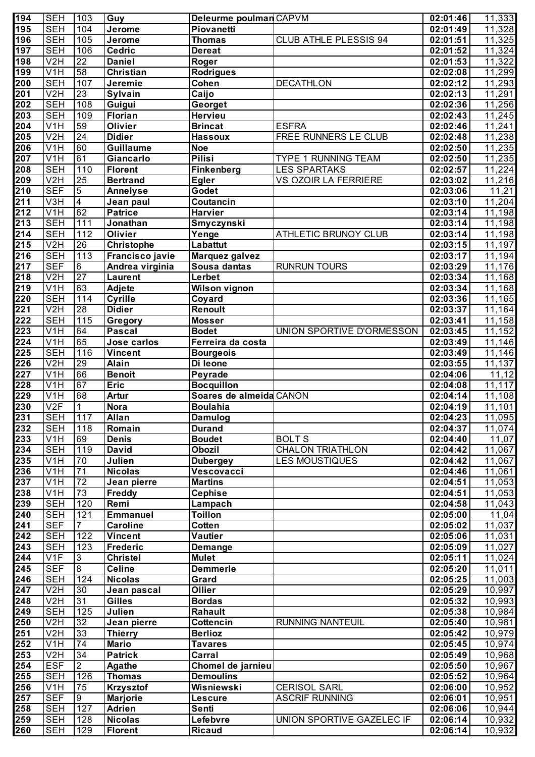| 194              | <b>SEH</b>              | 103               | Guy               | Deleurme poulman CAPVM  |                             | 02:01:46 | 11,333               |
|------------------|-------------------------|-------------------|-------------------|-------------------------|-----------------------------|----------|----------------------|
| 195              | <b>SEH</b>              | 104               | <b>Jerome</b>     | Piovanetti              |                             | 02:01:49 | 11,328               |
| 196              | <b>SEH</b>              | 105               | <b>Jerome</b>     | Thomas                  | CLUB ATHLE PLESSIS 94       | 02:01:51 | 11,325               |
| 197              | <b>SEH</b>              | 106               | <b>Cedric</b>     | <b>Dereat</b>           |                             | 02:01:52 | 11,324               |
| 198              | V2H                     | $\overline{22}$   | <b>Daniel</b>     | Roger                   |                             | 02:01:53 | 11,322               |
|                  |                         |                   |                   |                         |                             |          |                      |
| 199              | V <sub>1</sub> H        | $\overline{58}$   | <b>Christian</b>  | <b>Rodrigues</b>        |                             | 02:02:08 | 11,299               |
| 200              | <b>SEH</b>              | 107               | Jeremie           | Cohen                   | <b>DECATHLON</b>            | 02:02:12 | 11,293               |
| $\overline{201}$ | V2H                     | $\overline{23}$   | Sylvain           | Caijo                   |                             | 02:02:13 | 11,291               |
| 202              | <b>SEH</b>              | 108               | Guigui            | Georget                 |                             | 02:02:36 | 11,256               |
| 203              | <b>SEH</b>              | 109               | <b>Florian</b>    | Hervieu                 |                             | 02:02:43 | 11,245               |
| 204              | V1H                     | 59                | Olivier           | <b>Brincat</b>          | <b>ESFRA</b>                | 02:02:46 | 11,241               |
| 205              | V2H                     | $\overline{24}$   | <b>Didier</b>     | <b>Hassoux</b>          | FREE RUNNERS LE CLUB        | 02:02:48 | 11,238               |
| 206              | V <sub>1</sub> H        | 60                | Guillaume         | <b>Noe</b>              |                             | 02:02:50 | 11,235               |
| $\overline{207}$ | V1H                     | 61                | Giancarlo         | <b>Pilisi</b>           | <b>TYPE 1 RUNNING TEAM</b>  | 02:02:50 | 11,235               |
| 208              | <b>SEH</b>              | 110               | <b>Florent</b>    | <b>Finkenberg</b>       | <b>LES SPARTAKS</b>         | 02:02:57 | 11,224               |
| 209              | V2H                     | $\overline{25}$   | <b>Bertrand</b>   | <b>Egler</b>            | <b>VS OZOIR LA FERRIERE</b> | 02:03:02 | 11,216               |
| $\overline{210}$ | <b>SEF</b>              | $\overline{5}$    | <b>Annelyse</b>   | Godet                   |                             | 02:03:06 | 11,21                |
| $\overline{211}$ | V3H                     | $\overline{4}$    | Jean paul         | Coutancin               |                             | 02:03:10 | 11,204               |
| $\overline{212}$ | V <sub>1</sub> H        | 62                | <b>Patrice</b>    | <b>Harvier</b>          |                             | 02:03:14 | 11,198               |
| $\overline{213}$ | <b>SEH</b>              | $\overline{111}$  | Jonathan          |                         |                             | 02:03:14 | $\overline{11,198}$  |
|                  |                         | 112               |                   | Smyczynski              |                             |          |                      |
| $\overline{214}$ | <b>SEH</b>              |                   | Olivier           | Yenge                   | <b>ATHLETIC BRUNOY CLUB</b> | 02:03:14 | 11,198               |
| $\overline{215}$ | V <sub>2</sub> H        | $\overline{26}$   | <b>Christophe</b> | Labattut                |                             | 02:03:15 | 11,197               |
| $\overline{216}$ | <b>SEH</b>              | $\overline{113}$  | Francisco javie   | Marquez galvez          |                             | 02:03:17 | $\overline{11,194}$  |
| $\overline{217}$ | <b>SEF</b>              | 6                 | Andrea virginia   | Sousa dantas            | <b>RUNRUN TOURS</b>         | 02:03:29 | 11,176               |
| $\overline{218}$ | V <sub>2</sub> H        | $\overline{27}$   | <b>Laurent</b>    | Lerbet                  |                             | 02:03:34 | $\overline{11,168}$  |
| $\overline{219}$ | V <sub>1</sub> H        | 63                | Adjete            | <b>Wilson vignon</b>    |                             | 02:03:34 | $\overline{11,168}$  |
| 220              | <b>SEH</b>              | $\frac{114}{114}$ | <b>Cyrille</b>    | Coyard                  |                             | 02:03:36 | $\overline{11,165}$  |
| $\overline{221}$ | V <sub>2</sub> H        | $\overline{28}$   | <b>Didier</b>     | Renoult                 |                             | 02:03:37 | 11,164               |
| 222              | <b>SEH</b>              | 115               | Gregory           | <b>Mosser</b>           |                             | 02:03:41 | 11,158               |
| 223              | V1H                     | 64                | <b>Pascal</b>     | <b>Bodet</b>            | UNION SPORTIVE D'ORMESSON   | 02:03:45 | $\overline{11}, 152$ |
| 224              | V1H                     | 65                | Jose carlos       | Ferreira da costa       |                             | 02:03:49 | 11,146               |
| 225              | <b>SEH</b>              | 116               | <b>Vincent</b>    | <b>Bourgeois</b>        |                             | 02:03:49 | 11,146               |
| 226              | V <sub>2</sub> H        | 29                | <b>Alain</b>      | Di leone                |                             | 02:03:55 | 11,137               |
| 227              | V <sub>1</sub> H        | 66                | <b>Benoit</b>     | Peyrade                 |                             | 02:04:06 | 11,12                |
|                  |                         | 67                |                   |                         |                             |          |                      |
| 228              | $\overline{\text{V1H}}$ |                   | <b>Eric</b>       | <b>Bocquillon</b>       |                             | 02:04:08 | 11,117               |
| 229              | V1H                     | 68                | <b>Artur</b>      | Soares de almeida CANON |                             | 02:04:14 | 11,108               |
| 230              | V2F                     | 1                 | <b>Nora</b>       | <b>Boulahia</b>         |                             | 02:04:19 | 11,101               |
| 231              | <b>SEH</b>              | 117               | <b>Allan</b>      | <b>Damulog</b>          |                             | 02:04:23 | 11,095               |
| $\overline{232}$ | <b>SEH</b>              | 118               | Romain            | <b>Durand</b>           |                             | 02:04:37 | 11,074               |
| 233              | $\overline{V1H}$        | 69                | <b>Denis</b>      | <b>Boudet</b>           | <b>BOLTS</b>                | 02:04:40 | 11,07                |
| 234              | <b>SEH</b>              | 119               | David             | <b>Obozil</b>           | <b>CHALON TRIATHLON</b>     | 02:04:42 | 11,067               |
| 235              | V1H                     | $\overline{70}$   | Julien            | <b>Dubergey</b>         | <b>LES MOUSTIQUES</b>       | 02:04:42 | 11,067               |
| 236              | V1H                     | $\overline{71}$   | <b>Nicolas</b>    | Vescovacci              |                             | 02:04:46 | 11,061               |
| 237              | $\overline{V1H}$        | $\overline{72}$   | Jean pierre       | <b>Martins</b>          |                             | 02:04:51 | 11,053               |
| 238              | $\overline{V1H}$        | 73                | Freddy            | <b>Cephise</b>          |                             | 02:04:51 | 11,053               |
| 239              | <b>SEH</b>              | 120               | Remi              | Lampach                 |                             | 02:04:58 | 11,043               |
| 240              | <b>SEH</b>              | 121               | <b>Emmanuel</b>   | <b>Toillon</b>          |                             | 02:05:00 | $\overline{1}1,04$   |
| $\overline{241}$ | <b>SEF</b>              |                   | <b>Caroline</b>   | Cotten                  |                             | 02:05:02 | 11,037               |
| 242              | <b>SEH</b>              | 122               | <b>Vincent</b>    | Vautier                 |                             | 02:05:06 | 11,031               |
| $\overline{243}$ | <b>SEH</b>              | 123               | <b>Frederic</b>   | Demange                 |                             | 02:05:09 | 11,027               |
|                  |                         |                   |                   |                         |                             |          |                      |
| $\overline{244}$ | V1F                     | 3                 | <b>Christel</b>   | <b>Mulet</b>            |                             | 02:05:11 | 11,024               |
| 245              | <b>SEF</b>              | $\infty$          | <b>Celine</b>     | <b>Demmerle</b>         |                             | 02:05:20 | 11,011               |
| 246              | <b>SEH</b>              | 124               | <b>Nicolas</b>    | Grard                   |                             | 02:05:25 | 11,003               |
| 247              | V2H                     | 30                | Jean pascal       | Ollier                  |                             | 02:05:29 | 10,997               |
| 248              | V2H                     | $\overline{31}$   | <b>Gilles</b>     | <b>Bordas</b>           |                             | 02:05:32 | 10,993               |
| 249              | <b>SEH</b>              | 125               | Julien            | Rahault                 |                             | 02:05:38 | 10,984               |
| 250              | V2H                     | $\overline{32}$   | Jean pierre       | Cottencin               | <b>RUNNING NANTEUIL</b>     | 02:05:40 | 10,981               |
| 251              | V2H                     | 33                | Thierry           | <b>Berlioz</b>          |                             | 02:05:42 | 10,979               |
| 252              | V <sub>1</sub> H        | $\overline{74}$   | <b>Mario</b>      | <b>Tavares</b>          |                             | 02:05:45 | 10,974               |
| 253              | V2H                     | 34                | <b>Patrick</b>    | Carral                  |                             | 02:05:49 | 10,968               |
| 254              | <b>ESF</b>              | $\overline{2}$    | Agathe            | Chomel de jarnieu       |                             | 02:05:50 | 10,967               |
| 255              | <b>SEH</b>              | 126               | <b>Thomas</b>     | <b>Demoulins</b>        |                             | 02:05:52 | 10,964               |
| 256              | V <sub>1</sub> H        | 75                | <b>Krzysztof</b>  | Wisniewski              | <b>CERISOL SARL</b>         | 02:06:00 | 10,952               |
|                  | <b>SEF</b>              | 9                 | <b>Marjorie</b>   | <b>Lescure</b>          | <b>ASCRIF RUNNING</b>       | 02:06:01 | 10,951               |
| 257              |                         |                   |                   |                         |                             |          |                      |
| 258              | <b>SEH</b>              | 127               | <b>Adrien</b>     | <b>Senti</b>            |                             | 02:06:06 | 10,944               |
| 259              | <b>SEH</b>              | 128               | <b>Nicolas</b>    | Lefebvre                | UNION SPORTIVE GAZELEC IF   | 02:06:14 | 10,932               |
| 260              | <b>SEH</b>              | 129               | <b>Florent</b>    | <b>Ricaud</b>           |                             | 02:06:14 | 10,932               |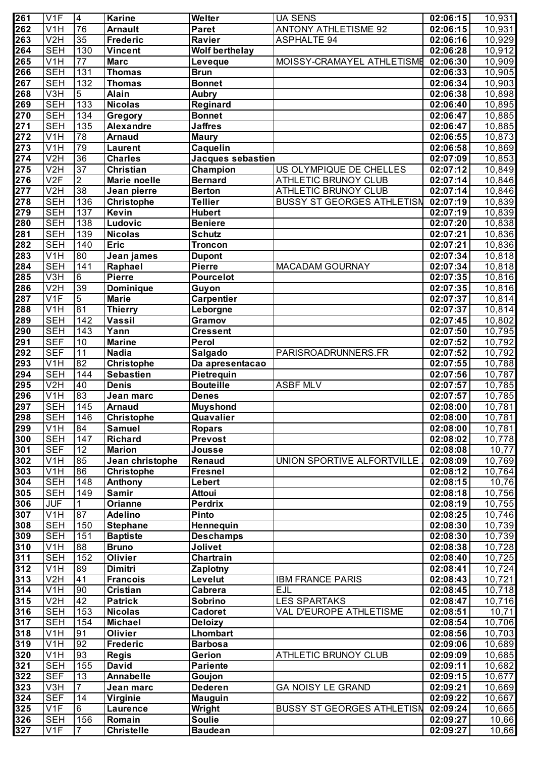| 261              | V1F              | $\overline{\mathbf{4}}$ | <b>Karine</b>     | Welter                | <b>UA SENS</b>                    | 02:06:15              | 10,931              |
|------------------|------------------|-------------------------|-------------------|-----------------------|-----------------------------------|-----------------------|---------------------|
| $\overline{262}$ | V <sub>1</sub> H | 76                      | <b>Arnault</b>    | <b>Paret</b>          | <b>ANTONY ATHLETISME 92</b>       | 02:06:15              | 10,931              |
| $\overline{263}$ | V2H              | 35                      | <b>Frederic</b>   | Ravier                | <b>ASPHALTE 94</b>                | 02:06:16              | 10,929              |
| 264              | <b>SEH</b>       | 130                     | <b>Vincent</b>    | <b>Wolf berthelay</b> |                                   | 02:06:28              | $\overline{10,912}$ |
| 265              | V1H              | $\overline{77}$         | <b>Marc</b>       | Leveque               | MOISSY-CRAMAYEL ATHLETISME        | 02:06:30              | 10,909              |
| 266              | <b>SEH</b>       | 131                     | <b>Thomas</b>     | <b>Brun</b>           |                                   | 02:06:33              | 10,905              |
| 267              | <b>SEH</b>       | $\overline{132}$        | <b>Thomas</b>     | <b>Bonnet</b>         |                                   | 02:06:34              | 10,903              |
| 268              | V3H              | $\overline{5}$          | <b>Alain</b>      | <b>Aubry</b>          |                                   | 02:06:38              | 10,898              |
| 269              | <b>SEH</b>       | 133                     | <b>Nicolas</b>    | Reginard              |                                   | 02:06:40              | 10,895              |
| $\overline{270}$ | <b>SEH</b>       | 134                     | Gregory           | <b>Bonnet</b>         |                                   | 02:06:47              | 10,885              |
| $\overline{271}$ | <b>SEH</b>       | 135                     | <b>Alexandre</b>  | <b>Jaffres</b>        |                                   | 02:06:47              | 10,885              |
| $\overline{272}$ | V <sub>1</sub> H | $\overline{78}$         | <b>Arnaud</b>     | <b>Maury</b>          |                                   | 02:06:55              | 10,873              |
| $\overline{273}$ | $\overline{V1H}$ | 79                      | <b>Laurent</b>    | Caquelin              |                                   | 02:06:58              | 10,869              |
| $\overline{274}$ | V2H              | 36                      | <b>Charles</b>    | Jacques sebastien     |                                   | 02:07:09              | 10,853              |
| $\overline{275}$ | V2H              | $\overline{37}$         | <b>Christian</b>  | Champion              | US OLYMPIQUE DE CHELLES           | 02:07:12              | 10,849              |
| $\overline{276}$ | V2F              | $\overline{2}$          | Marie noelle      | <b>Bernard</b>        | <b>ATHLETIC BRUNOY CLUB</b>       | 02:07:14              | 10,846              |
| $\overline{277}$ | V2H              | 38                      | Jean pierre       | <b>Berton</b>         | <b>ATHLETIC BRUNOY CLUB</b>       | 02:07:14              | 10,846              |
| $\overline{278}$ | <b>SEH</b>       | 136                     | Christophe        | <b>Tellier</b>        | <b>BUSSY ST GEORGES ATHLETISN</b> | 02:07:19              | 10,839              |
| $\overline{279}$ | <b>SEH</b>       | 137                     | <b>Kevin</b>      | <b>Hubert</b>         |                                   | 02:07:19              | 10,839              |
| 280              | <b>SEH</b>       | 138                     | Ludovic           | <b>Beniere</b>        |                                   | 02:07:20              | 10,838              |
| $\overline{281}$ | <b>SEH</b>       | 139                     | <b>Nicolas</b>    | <b>Schutz</b>         |                                   | 02:07:21              | 10,836              |
| 282              | <b>SEH</b>       | 140                     | <b>Eric</b>       | <b>Troncon</b>        |                                   | 02:07:21              | 10,836              |
| 283              | V1H              | 80                      | Jean james        | <b>Dupont</b>         |                                   | 02:07:34              | 10,818              |
| 284              | <b>SEH</b>       | 141                     | Raphael           | Pierre                | <b>MACADAM GOURNAY</b>            | 02:07:34              | 10,818              |
| 285              | V3H              | $6\overline{6}$         | Pierre            | Pourcelot             |                                   | 02:07:35              | 10,816              |
| 286              | V2H              | 39                      | Dominique         | Guyon                 |                                   | 02:07:35              | 10,816              |
| 287              | V1F              | $\overline{5}$          | <b>Marie</b>      | <b>Carpentier</b>     |                                   | 02:07:37              | 10,814              |
| 288              | V <sub>1</sub> H | 81                      | <b>Thierry</b>    | Leborgne              |                                   | 02:07:37              | 10,814              |
| 289              | <b>SEH</b>       | $\overline{142}$        | <b>Vassil</b>     | Gramov                |                                   | 02:07:45              | 10,802              |
| 290              | <b>SEH</b>       | 143                     | Yann              | <b>Cressent</b>       |                                   | 02:07:50              | 10,795              |
| $\overline{291}$ | <b>SEF</b>       | $\overline{10}$         | <b>Marine</b>     | Perol                 |                                   | 02:07:52              | $\overline{10,792}$ |
| 292              | <b>SEF</b>       | $\overline{11}$         | <b>Nadia</b>      | Salgado               | PARISROADRUNNERS.FR               | 02:07:52              | 10,792              |
| 293              | V <sub>1</sub> H | 82                      | <b>Christophe</b> | Da apresentacao       |                                   | 02:07:55              | 10,788              |
| $\overline{294}$ | <b>SEH</b>       | 144                     | <b>Sebastien</b>  | Pietrequin            |                                   | 02:07:56              | 10,787              |
| $\overline{295}$ | V2H              | 40                      | <b>Denis</b>      | <b>Bouteille</b>      | <b>ASBF MLV</b>                   | 02:07:57              | 10,785              |
| 296              | V1H              | 83                      | Jean marc         | <b>Denes</b>          |                                   | 02:07:57              | 10,785              |
| $\overline{297}$ | <b>SEH</b>       | 145                     | <b>Arnaud</b>     | <b>Muyshond</b>       |                                   | 02:08:00              | 10,781              |
| 298              | <b>SEH</b>       | $\boxed{146}$           | Christophe        | Quavalier             |                                   | 02:08:00              | 10,781              |
| $\overline{299}$ | V <sub>1</sub> H | 84                      | <b>Samuel</b>     | <b>Ropars</b>         |                                   | 02:08:00              | $\overline{10,781}$ |
| 300              | <b>SEH</b>       | 147                     | <b>Richard</b>    | Prevost               |                                   | 02:08:02              | 10,778              |
| $\overline{301}$ | <b>SEF</b>       | $\overline{12}$         | <b>Marion</b>     | Jousse                |                                   | 02:08:08              | 10,77               |
| 302              | V <sub>1</sub> H | 85                      | Jean christophe   | Renaud                | UNION SPORTIVE ALFORTVILLE        | 02:08:09              | 10,769              |
| $\overline{303}$ | V1H              | 86                      | Christophe        | <b>Fresnel</b>        |                                   | 02:08:12              | 10,764              |
| 304              | <b>SEH</b>       | 148                     | Anthony           | Lebert                |                                   | $\overline{02:08:15}$ | 10,76               |
| 305              | <b>SEH</b>       | 149                     | Samir             | <b>Attoui</b>         |                                   | 02:08:18              | 10,756              |
| 306              | <b>JUF</b>       | 1                       | <b>Orianne</b>    | <b>Perdrix</b>        |                                   | 02:08:19              | 10,755              |
| $\overline{307}$ | V1H              | 87                      | <b>Adelino</b>    | Pinto                 |                                   | 02:08:25              | 10,746              |
| $\overline{308}$ | <b>SEH</b>       | 150                     | <b>Stephane</b>   | <b>Hennequin</b>      |                                   | 02:08:30              | 10,739              |
| $\overline{309}$ | <b>SEH</b>       | 151                     | <b>Baptiste</b>   | <b>Deschamps</b>      |                                   | 02:08:30              | 10,739              |
| 310              | V <sub>1</sub> H | 88                      | <b>Bruno</b>      | Jolivet               |                                   | 02:08:38              | 10,728              |
| $\overline{311}$ | <b>SEH</b>       | 152                     | Olivier           | Chartrain             |                                   | 02:08:40              | 10,725              |
| $\overline{312}$ | V1H              | 89                      | Dimitri           | Zaplotny              |                                   | 02:08:41              | 10,724              |
| $\overline{313}$ | V <sub>2</sub> H | $\overline{41}$         | <b>Francois</b>   | Levelut               | <b>IBM FRANCE PARIS</b>           | 02:08:43              | 10,721              |
| $\overline{314}$ | V <sub>1</sub> H | 90                      | <b>Cristian</b>   | Cabrera               | <b>EJL</b>                        | 02:08:45              | 10,718              |
| $\overline{315}$ | V <sub>2</sub> H | 42                      | <b>Patrick</b>    | Sobrino               | LES SPARTAKS                      | 02:08:47              | 10,716              |
| 316              | <b>SEH</b>       | 153                     | <b>Nicolas</b>    | Cadoret               | VAL D'EUROPE ATHLETISME           | 02:08:51              | 10,71               |
| $\overline{317}$ | <b>SEH</b>       | 154                     | <b>Michael</b>    | <b>Deloizy</b>        |                                   | 02:08:54              | 10,706              |
| $\overline{318}$ | V <sub>1</sub> H | 91                      | Olivier           | <b>Lhombart</b>       |                                   | 02:08:56              | 10,703              |
| $\overline{319}$ | V <sub>1</sub> H | 92                      | <b>Frederic</b>   | <b>Barbosa</b>        |                                   | 02:09:06              | 10,689              |
| 320              | V <sub>1</sub> H | 93                      | <b>Regis</b>      | Gerion                | ATHLETIC BRUNOY CLUB              | 02:09:09              | 10,685              |
| $\overline{321}$ | <b>SEH</b>       | 155                     | David             | <b>Pariente</b>       |                                   | 02:09:11              | 10,682              |
| 322              | <b>SEF</b>       | $\overline{13}$         | Annabelle         | Goujon                |                                   | 02:09:15              | 10,677              |
| $\overline{323}$ | $\overline{V}3H$ | 7                       | Jean marc         | <b>Dederen</b>        | <b>GA NOISY LE GRAND</b>          | 02:09:21              | 10,669              |
| 324              | <b>SEF</b>       | 14                      | Virginie          | <b>Mauguin</b>        |                                   | 02:09:22              | 10,667              |
| 325              | V <sub>1F</sub>  | 6                       | <b>Laurence</b>   | Wright                | <b>BUSSY ST GEORGES ATHLETISN</b> | 02:09:24              | 10,665              |
| 326              | <b>SEH</b>       | 156                     | Romain            | <b>Soulie</b>         |                                   | 02:09:27              | 10,66               |
| 327              | V <sub>1F</sub>  | 7                       | <b>Christelle</b> | <b>Baudean</b>        |                                   | 02:09:27              | 10,66               |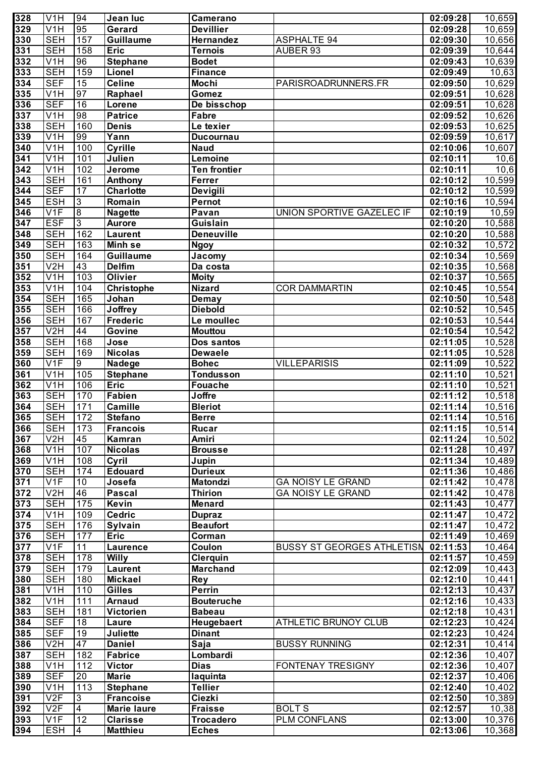| 328              | V <sub>1</sub> H        | 94              | Jean luc           | Camerano            |                                   | 02:09:28 | 10,659             |
|------------------|-------------------------|-----------------|--------------------|---------------------|-----------------------------------|----------|--------------------|
| 329              | V <sub>1</sub> H        | 95              | Gerard             | <b>Devillier</b>    |                                   | 02:09:28 | 10,659             |
| 330              | <b>SEH</b>              | 157             | Guillaume          | Hernandez           | <b>ASPHALTE 94</b>                | 02:09:30 | 10,656             |
| 331              | <b>SEH</b>              | 158             | <b>Eric</b>        | <b>Ternois</b>      | AUBER 93                          | 02:09:39 | 10,644             |
| 332              | V <sub>1</sub> H        | 96              | <b>Stephane</b>    | <b>Bodet</b>        |                                   | 02:09:43 | 10,639             |
| 333              | <b>SEH</b>              | 159             | Lionel             | Finance             |                                   | 02:09:49 | $\overline{10,63}$ |
| 334              | <b>SEF</b>              | $\overline{15}$ | <b>Celine</b>      | <b>Mochi</b>        | PARISROADRUNNERS.FR               | 02:09:50 | 10,629             |
| 335              | V <sub>1</sub> H        | 97              | Raphael            | Gomez               |                                   | 02:09:51 | 10,628             |
| 336              | <b>SEF</b>              | 16              | Lorene             | De bisschop         |                                   | 02:09:51 | 10,628             |
| 337              | V <sub>1</sub> H        | 98              | <b>Patrice</b>     | <b>Fabre</b>        |                                   | 02:09:52 | 10,626             |
| 338              | <b>SEH</b>              | 160             | <b>Denis</b>       | Le texier           |                                   | 02:09:53 | 10,625             |
| 339              | V <sub>1</sub> H        | 99              | Yann               | <b>Ducournau</b>    |                                   | 02:09:59 | 10,617             |
| 340              | V <sub>1</sub> H        | 100             | Cyrille            | <b>Naud</b>         |                                   | 02:10:06 | 10,607             |
| 341              | V <sub>1</sub> H        | 101             | Julien             | Lemoine             |                                   | 02:10:11 | 10,6               |
| $\overline{342}$ | V <sub>1</sub> H        | 102             | Jerome             | <b>Ten frontier</b> |                                   | 02:10:11 | 10,6               |
| 343              | <b>SEH</b>              | 161             | Anthony            | Ferrer              |                                   | 02:10:12 | 10,599             |
| 344              | <b>SEF</b>              | 17              | <b>Charlotte</b>   | Devigili            |                                   | 02:10:12 | 10,599             |
| 345              | <b>ESH</b>              | 3               | Romain             | Pernot              |                                   | 02:10:16 | 10,594             |
| 346              | V <sub>1</sub> F        | 8               | <b>Nagette</b>     | Pavan               | UNION SPORTIVE GAZELEC IF         | 02:10:19 | 10,59              |
| 347              | <b>ESF</b>              | $\overline{3}$  | <b>Aurore</b>      | Guislain            |                                   | 02:10:20 | 10,588             |
| 348              | <b>SEH</b>              | 162             | <b>Laurent</b>     | <b>Deneuville</b>   |                                   | 02:10:20 | 10,588             |
| 349              | <b>SEH</b>              | 163             | Minh se            | <b>Ngoy</b>         |                                   | 02:10:32 | 10,572             |
| 350              | <b>SEH</b>              | 164             | Guillaume          | Jacomy              |                                   | 02:10:34 | 10,569             |
| 351              | V2H                     | 43              | <b>Delfim</b>      | Da costa            |                                   | 02:10:35 | 10,568             |
| 352              | V <sub>1</sub> H        | 103             | Olivier            | <b>Moity</b>        |                                   | 02:10:37 | 10,565             |
| 353              | V <sub>1</sub> H        | 104             | <b>Christophe</b>  | <b>Nizard</b>       | <b>COR DAMMARTIN</b>              | 02:10:45 | 10,554             |
| 354              | <b>SEH</b>              | 165             | Johan              | <b>Demay</b>        |                                   | 02:10:50 | 10,548             |
| 355              | <b>SEH</b>              | 166             | <b>Joffrey</b>     | <b>Diebold</b>      |                                   | 02:10:52 | 10,545             |
| 356              | <b>SEH</b>              | 167             | <b>Frederic</b>    | Le moullec          |                                   | 02:10:53 | 10,544             |
| 357              | V2H                     | 44              | Govine             | <b>Mouttou</b>      |                                   | 02:10:54 | 10,542             |
| 358              | <b>SEH</b>              | 168             | Jose               | Dos santos          |                                   | 02:11:05 | 10,528             |
| 359              | <b>SEH</b>              | 169             | <b>Nicolas</b>     | <b>Dewaele</b>      |                                   | 02:11:05 | 10,528             |
| 360              | $\overline{V1F}$        | 9               | Nadege             | <b>Bohec</b>        | <b>VILLEPARISIS</b>               | 02:11:09 | 10,522             |
| 361              | V <sub>1</sub> H        | 105             | <b>Stephane</b>    | <b>Tondusson</b>    |                                   | 02:11:10 | 10,521             |
| 362              | $\overline{\text{V1H}}$ | 106             | <b>Eric</b>        | <b>Fouache</b>      |                                   | 02:11:10 | 10,521             |
| 363              | <b>SEH</b>              | 170             | <b>Fabien</b>      | Joffre              |                                   | 02:11:12 | 10,518             |
| 364              | <b>SEH</b>              | 171             | <b>Camille</b>     | <b>Bleriot</b>      |                                   | 02:11:14 | 10,516             |
| 365              | <b>SEH</b>              | 172             | <b>Stefano</b>     | <b>Berre</b>        |                                   | 02:11:14 | 10,516             |
| 366              | <b>SEH</b>              | 173             | <b>Francois</b>    | <b>Rucar</b>        |                                   | 02:11:15 | 10,514             |
| 367              | V2H                     | $\overline{45}$ | Kamran             | <b>Amiri</b>        |                                   | 02:11:24 | 10,502             |
| 368              | V1H                     | 107             | <b>Nicolas</b>     | <b>Brousse</b>      |                                   | 02:11:28 | 10,497             |
| 369              | V <sub>1</sub> H        | 108             | Cyril              | Jupin               |                                   | 02:11:34 | 10,489             |
| 370              | <b>SEH</b>              | 174             | <b>Edouard</b>     | <b>Durieux</b>      |                                   | 02:11:36 | 10,486             |
| 371              | V1F                     | 10              | Josefa             | <b>Matondzi</b>     | <b>GA NOISY LE GRAND</b>          | 02:11:42 | 10,478             |
| 372              | V2H                     | 46              | <b>Pascal</b>      | <b>Thirion</b>      | <b>GA NOISY LE GRAND</b>          | 02:11:42 | 10,478             |
| 373              | <b>SEH</b>              | 175             | Kevin              | <b>Menard</b>       |                                   | 02:11:43 | 10,477             |
| 374              | V <sub>1</sub> H        | 109             | <b>Cedric</b>      | <b>Dupraz</b>       |                                   | 02:11:47 | 10,472             |
| 375              | <b>SEH</b>              | 176             | Sylvain            | <b>Beaufort</b>     |                                   | 02:11:47 | 10,472             |
| 376              | <b>SEH</b>              | 177             | <b>Eric</b>        | Corman              |                                   | 02:11:49 | 10,469             |
| $\overline{377}$ | $\overline{V1F}$        | 11              | <b>Laurence</b>    | Coulon              | <b>BUSSY ST GEORGES ATHLETISN</b> | 02:11:53 | 10,464             |
| 378              | <b>SEH</b>              | 178             | <b>Willy</b>       | <b>Clerquin</b>     |                                   | 02:11:57 | 10,459             |
| 379              | <b>SEH</b>              | 179             | <b>Laurent</b>     | <b>Marchand</b>     |                                   | 02:12:09 | 10,443             |
|                  | <b>SEH</b>              | 180             | <b>Mickael</b>     | Rey                 |                                   | 02:12:10 | 10,441             |
| 380              | V <sub>1</sub> H        | 110             | <b>Gilles</b>      | <b>Perrin</b>       |                                   |          |                    |
| 381              |                         |                 |                    |                     |                                   | 02:12:13 | 10,437             |
| 382              | V <sub>1</sub> H        | 111             | <b>Arnaud</b>      | <b>Bouteruche</b>   |                                   | 02:12:16 | 10,433             |
| 383              | <b>SEH</b>              | 181             | Victorien          | <b>Babeau</b>       |                                   | 02:12:18 | 10,431             |
| 384              | <b>SEF</b>              | 18              | Laure              | Heugebaert          | <b>ATHLETIC BRUNOY CLUB</b>       | 02:12:23 | 10,424             |
| 385              | <b>SEF</b>              | 19              | <b>Juliette</b>    | <b>Dinant</b>       |                                   | 02:12:23 | 10,424             |
| 386              | V2H                     | 47              | <b>Daniel</b>      | Saja                | <b>BUSSY RUNNING</b>              | 02:12:31 | 10,414             |
| 387              | <b>SEH</b>              | 182             | <b>Fabrice</b>     | Lombardi            |                                   | 02:12:36 | 10,407             |
| 388              | V <sub>1</sub> H        | 112             | <b>Victor</b>      | <b>Dias</b>         | FONTENAY TRESIGNY                 | 02:12:36 | 10,407             |
| 389              | <b>SEF</b>              | 20              | <b>Marie</b>       | laquinta            |                                   | 02:12:37 | 10,406             |
| 390              | V1H                     | 113             | <b>Stephane</b>    | <b>Tellier</b>      |                                   | 02:12:40 | 10,402             |
| 391              | V2F                     | 3               | <b>Francoise</b>   | Ciezki              |                                   | 02:12:50 | 10,389             |
| 392              | V2F                     | 4               | <b>Marie laure</b> | <b>Fraisse</b>      | <b>BOLTS</b>                      | 02:12:57 | 10,38              |
| 393              | V <sub>1F</sub>         | 12              | <b>Clarisse</b>    | <b>Trocadero</b>    | PLM CONFLANS                      | 02:13:00 | 10,376             |
| 394              | <b>ESH</b>              | $\overline{4}$  | <b>Matthieu</b>    | <b>Eches</b>        |                                   | 02:13:06 | 10,368             |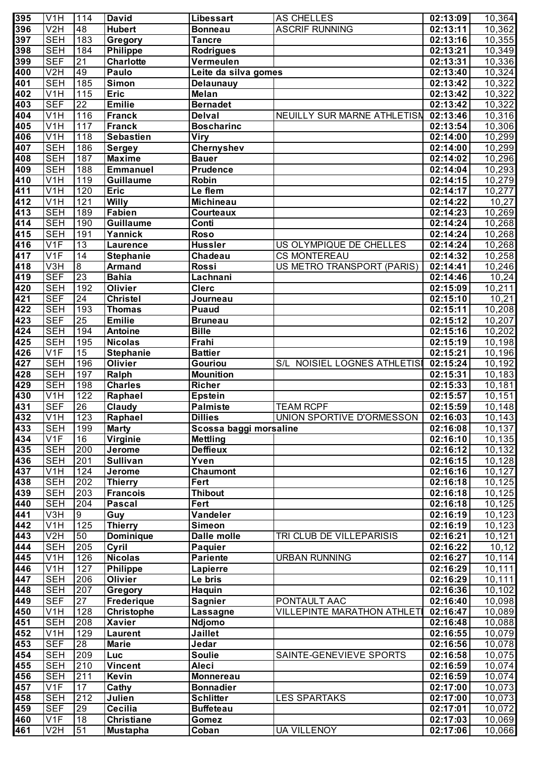| 395              | V <sub>1</sub> H | 114             | <b>David</b>      | Libessart                  | AS CHELLES                           | 02:13:09              | 10,364               |
|------------------|------------------|-----------------|-------------------|----------------------------|--------------------------------------|-----------------------|----------------------|
| 396              | V2H              | 48              | <b>Hubert</b>     | <b>Bonneau</b>             | <b>ASCRIF RUNNING</b>                | 02:13:11              | 10,362               |
| 397              | <b>SEH</b>       | 183             | Gregory           | <b>Tancre</b>              |                                      | 02:13:16              | 10,355               |
| 398              | <b>SEH</b>       | 184             | <b>Philippe</b>   | <b>Rodrigues</b>           |                                      | 02:13:21              | 10,349               |
| 399              | <b>SEF</b>       | $\overline{21}$ | <b>Charlotte</b>  | Vermeulen                  |                                      | 02:13:31              | 10,336               |
| 400              | V2H              | 49              | Paulo             | Leite da silva gomes       |                                      | 02:13:40              | 10,324               |
| 401              | <b>SEH</b>       | 185             | <b>Simon</b>      | Delaunauy                  |                                      | 02:13:42              | 10,322               |
| 402              | V1H              | 115             | <b>Eric</b>       | Melan                      |                                      | 02:13:42              | 10,322               |
| 403              | <b>SEF</b>       | $\overline{22}$ | <b>Emilie</b>     | <b>Bernadet</b>            |                                      | 02:13:42              | 10,322               |
| 404              | V1H              | 116             | <b>Franck</b>     | <b>Delval</b>              | NEUILLY SUR MARNE ATHLETISN          | 02:13:46              | 10,316               |
| 405              | V <sub>1</sub> H | 117             | <b>Franck</b>     | <b>Boscharinc</b>          |                                      | 02:13:54              | 10,306               |
| 406              | V <sub>1</sub> H | 118             |                   |                            |                                      |                       |                      |
|                  |                  |                 | <b>Sebastien</b>  | <b>Viry</b>                |                                      | 02:14:00              | 10,299               |
| 407              | <b>SEH</b>       | 186             | <b>Sergey</b>     | <b>Chernyshev</b>          |                                      | 02:14:00              | 10,299               |
| 408              | <b>SEH</b>       | 187             | <b>Maxime</b>     | <b>Bauer</b>               |                                      | 02:14:02              | 10,296               |
| 409              | <b>SEH</b>       | 188             | <b>Emmanuel</b>   | <b>Prudence</b>            |                                      | 02:14:04              | 10,293               |
| 410              | V1H              | 119             | <b>Guillaume</b>  | Robin                      |                                      | 02:14:15              | 10,279               |
| 411              | V <sub>1</sub> H | 120             | <b>Eric</b>       | Le flem                    |                                      | 02:14:17              | 10,277               |
| $\overline{412}$ | V <sub>1</sub> H | 121             | <b>Willy</b>      | <b>Michineau</b>           |                                      | 02:14:22              | $\overline{10,}27$   |
| $\overline{413}$ | <b>SEH</b>       | 189             | <b>Fabien</b>     | Courteaux                  |                                      | 02:14:23              | 10,269               |
| $\overline{414}$ | <b>SEH</b>       | 190             | <b>Guillaume</b>  | Conti                      |                                      | 02:14:24              | 10,268               |
| $\overline{415}$ | <b>SEH</b>       | 191             | Yannick           | <b>Roso</b>                |                                      | 02:14:24              | 10,268               |
| $\overline{416}$ | V <sub>1F</sub>  | $\overline{13}$ | <b>Laurence</b>   | <b>Hussler</b>             | US OLYMPIQUE DE CHELLES              | 02:14:24              | 10,268               |
| $\overline{417}$ | V1F              | 14              | <b>Stephanie</b>  | Chadeau                    | <b>CS MONTEREAU</b>                  | 02:14:32              | 10,258               |
| $\overline{418}$ | V3H              | $\overline{8}$  | <b>Armand</b>     | Rossi                      | US METRO TRANSPORT (PARIS)           | 02:14:41              | 10,246               |
| $\overline{419}$ | <b>SEF</b>       | 23              | <b>Bahia</b>      | Lachnani                   |                                      | 02:14:46              | $\overline{10,24}$   |
| $\overline{420}$ | <b>SEH</b>       | 192             | Olivier           | <b>Clerc</b>               |                                      | 02:15:09              | 10,211               |
| $\overline{421}$ | <b>SEF</b>       | $\overline{24}$ | <b>Christel</b>   | Journeau                   |                                      | 02:15:10              | $\overline{10,}21$   |
| 422              | <b>SEH</b>       | 193             | <b>Thomas</b>     | <b>Puaud</b>               |                                      | 02:15:11              | 10,208               |
| $\overline{423}$ | <b>SEF</b>       | 25              | <b>Emilie</b>     | <b>Bruneau</b>             |                                      | 02:15:12              | 10,207               |
| 424              | <b>SEH</b>       | 194             | <b>Antoine</b>    | <b>Bille</b>               |                                      | 02:15:16              | 10,202               |
| $\overline{425}$ | <b>SEH</b>       | 195             | <b>Nicolas</b>    | Frahi                      |                                      | 02:15:19              | 10,198               |
| 426              | V <sub>1F</sub>  | $\overline{15}$ | <b>Stephanie</b>  | <b>Battier</b>             |                                      | 02:15:21              | 10,196               |
| $\overline{427}$ | <b>SEH</b>       | 196             | <b>Olivier</b>    | Gouriou                    | S/L NOISIEL LOGNES ATHLETISI         | 02:15:24              | $\overline{10, 192}$ |
| 428              | <b>SEH</b>       | 197             | Ralph             | <b>Mounition</b>           |                                      | 02:15:31              | $\overline{10,}183$  |
| 429              | <b>SEH</b>       | 198             | <b>Charles</b>    | <b>Richer</b>              |                                      | 02:15:33              | 10,181               |
| 430              | V1H              | 122             |                   |                            |                                      |                       |                      |
| 431              | <b>SEF</b>       | 26              | Raphael           | Epstein<br><b>Palmiste</b> | <b>TEAM RCPF</b>                     | 02:15:57<br>02:15:59  | 10,151               |
|                  |                  |                 | Claudy            |                            |                                      |                       | 10,148               |
| 432              | V <sub>1</sub> H | $\boxed{123}$   | Raphael           | <b>Dillies</b>             | UNION SPORTIVE D'ORMESSON   02:16:03 |                       | 10,143               |
| 433              | <b>SEH</b>       | 199             | <b>Marty</b>      | Scossa baggi morsaline     |                                      | 02:16:08              | 10,137               |
| 434              | V1F              | 16              | Virginie          | <b>Mettling</b>            |                                      | 02:16:10              | 10,135               |
| 435              | <b>SEH</b>       | 200             | Jerome            | <b>Deffieux</b>            |                                      | 02:16:12              | 10,132               |
| 436              | <b>SEH</b>       | 201             | <b>Sullivan</b>   | Yven                       |                                      | 02:16:15              | 10,128               |
| 437              | V1H              | 124             | <b>Jerome</b>     | <b>Chaumont</b>            |                                      | 02:16:16              | 10,127               |
| 438              | <b>SEH</b>       | 202             | <b>Thierry</b>    | Fert                       |                                      | 02:16:18              | 10,125               |
| 439              | <b>SEH</b>       | 203             | <b>Francois</b>   | <b>Thibout</b>             |                                      | 02:16:18              | 10,125               |
| 440              | <b>SEH</b>       | 204             | <b>Pascal</b>     | Fert                       |                                      | 02:16:18              | 10,125               |
| 441              | V3H              | $\overline{9}$  | Guy               | Vandeler                   |                                      | 02:16:19              | 10,123               |
| 442              | V1H              | 125             | <b>Thierry</b>    | <b>Simeon</b>              |                                      | $\overline{02:16:19}$ | 10,123               |
| 443              | V2H              | 50              | <b>Dominique</b>  | <b>Dalle molle</b>         | TRI CLUB DE VILLEPARISIS             | 02:16:21              | 10,121               |
| 444              | <b>SEH</b>       | 205             | Cyril             | <b>Paquier</b>             |                                      | 02:16:22              | 10,12                |
| 445              | V1H              | 126             | <b>Nicolas</b>    | <b>Pariente</b>            | <b>URBAN RUNNING</b>                 | 02:16:27              | 10,114               |
| 446              | V1H              | 127             | <b>Philippe</b>   | Lapierre                   |                                      | 02:16:29              | 10, 111              |
| 447              | <b>SEH</b>       | 206             | Olivier           | Le bris                    |                                      | 02:16:29              | 10, 111              |
| 448              | <b>SEH</b>       | 207             | Gregory           | Haquin                     |                                      | $\overline{02:16:36}$ | 10,102               |
| 449              | <b>SEF</b>       | $\overline{27}$ | <b>Frederique</b> | <b>Sagnier</b>             | PONTAULT AAC                         | 02:16:40              | 10,098               |
| 450              | V1H              | 128             | Christophe        | <b>Lassagne</b>            | <b>VILLEPINTE MARATHON ATHLET</b>    | 02:16:47              | 10,089               |
| 451              | <b>SEH</b>       | 208             | <b>Xavier</b>     | <b>Ndjomo</b>              |                                      | 02:16:48              | 10,088               |
| 452              | V1H              | 129             | <b>Laurent</b>    | <b>Jaillet</b>             |                                      | 02:16:55              | 10,079               |
| 453              | <b>SEF</b>       | $\overline{28}$ | <b>Marie</b>      | Jedar                      |                                      | 02:16:56              | 10,078               |
| 454              | <b>SEH</b>       | 209             | Luc               | <b>Soulie</b>              | SAINTE-GENEVIEVE SPORTS              | $\overline{02:16:58}$ | 10,075               |
| 455              | <b>SEH</b>       | 210             | <b>Vincent</b>    | Aleci                      |                                      | 02:16:59              | 10,074               |
| 456              | <b>SEH</b>       | 211             | Kevin             |                            |                                      |                       |                      |
|                  |                  |                 |                   | <b>Monnereau</b>           |                                      | 02:16:59              | 10,074               |
| 457              | V <sub>1F</sub>  | 17              | Cathy             | <b>Bonnadier</b>           |                                      | 02:17:00              | 10,073               |
| 458              | <b>SEH</b>       | 212             | Julien            | <b>Schlitter</b>           | <b>LES SPARTAKS</b>                  | 02:17:00              | 10,073               |
| 459              | <b>SEF</b>       | $\overline{29}$ | Cecilia           | <b>Buffeteau</b>           |                                      | 02:17:01              | 10,072               |
| 460              | V1F              | 18              | <b>Christiane</b> | <b>Gomez</b>               |                                      | $\overline{02:17:03}$ | 10,069               |
| 461              | V <sub>2</sub> H | 51              | <b>Mustapha</b>   | Coban                      | <b>UA VILLENOY</b>                   | 02:17:06              | 10,066               |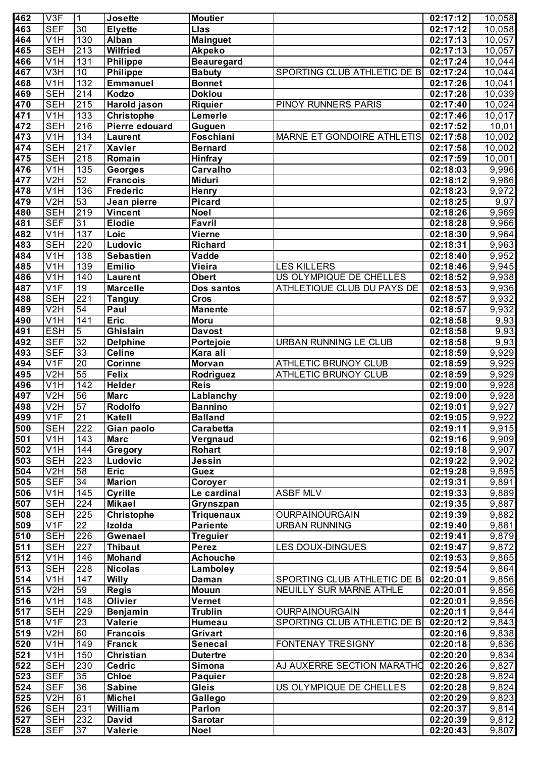| 462              | V3F              | 1                | <b>Josette</b>    | <b>Moutier</b>    |                             | 02:17:12 | 10,058              |
|------------------|------------------|------------------|-------------------|-------------------|-----------------------------|----------|---------------------|
| 463              | <b>SEF</b>       | $\overline{30}$  | <b>Elyette</b>    | Llas              |                             | 02:17:12 | $\overline{10,058}$ |
| 464              | V1H              | 130              | Alban             | <b>Mainguet</b>   |                             | 02:17:13 | 10,057              |
| 465              | <b>SEH</b>       | $\overline{213}$ | <b>Wilfried</b>   | <b>Akpeko</b>     |                             | 02:17:13 | 10,057              |
| 466              | V <sub>1</sub> H | 131              | <b>Philippe</b>   | <b>Beauregard</b> |                             | 02:17:24 | 10,044              |
| 467              | V3H              | $\overline{10}$  | <b>Philippe</b>   | <b>Babuty</b>     | SPORTING CLUB ATHLETIC DE B | 02:17:24 | 10,044              |
| 468              | V <sub>1</sub> H | 132              | <b>Emmanuel</b>   | <b>Bonnet</b>     |                             | 02:17:26 | 10,041              |
| 469              | <b>SEH</b>       | 214              | Kodzo             | <b>Doklou</b>     |                             | 02:17:28 | 10,039              |
| 470              | <b>SEH</b>       | 215              | Harold jason      | <b>Riquier</b>    | PINOY RUNNERS PARIS         | 02:17:40 | 10,024              |
| 471              | V1H              | 133              | Christophe        | Lemerle           |                             | 02:17:46 | 10,017              |
| 472              | <b>SEH</b>       | 216              | Pierre edouard    |                   |                             | 02:17:52 | 10,01               |
| $\overline{473}$ |                  | 134              |                   | Guguen            |                             |          |                     |
|                  | V <sub>1</sub> H |                  | <b>Laurent</b>    | Foschiani         | MARNE ET GONDOIRE ATHLETIS  | 02:17:58 | 10,002              |
| 474              | <b>SEH</b>       | 217              | <b>Xavier</b>     | <b>Bernard</b>    |                             | 02:17:58 | 10,002              |
| 475              | <b>SEH</b>       | 218              | Romain            | <b>Hinfray</b>    |                             | 02:17:59 | 10,001              |
| 476              | V <sub>1</sub> H | 135              | <b>Georges</b>    | Carvalho          |                             | 02:18:03 | 9,996               |
| 477              | V2H              | 52               | <b>Francois</b>   | <b>Miduri</b>     |                             | 02:18:12 | 9,986               |
| 478              | V <sub>1</sub> H | 136              | <b>Frederic</b>   | <b>Henry</b>      |                             | 02:18:23 | 9,972               |
| 479              | V2H              | 53               | Jean pierre       | <b>Picard</b>     |                             | 02:18:25 | 9,97                |
| 480              | <b>SEH</b>       | 219              | <b>Vincent</b>    | <b>Noel</b>       |                             | 02:18:26 | 9,969               |
| 481              | <b>SEF</b>       | 31               | <b>Elodie</b>     | Favril            |                             | 02:18:28 | 9,966               |
| 482              | V <sub>1</sub> H | 137              | Loic              | <b>Vierne</b>     |                             | 02:18:30 | $\overline{9,964}$  |
| 483              | <b>SEH</b>       | $\overline{220}$ | Ludovic           | <b>Richard</b>    |                             | 02:18:31 | 9,963               |
| 484              | V <sub>1</sub> H | 138              | <b>Sebastien</b>  | Vadde             |                             | 02:18:40 | $\overline{9,952}$  |
| 485              | V <sub>1</sub> H | 139              | <b>Emilio</b>     | Vieira            | <b>LES KILLERS</b>          | 02:18:46 | 9,945               |
| 486              | V <sub>1</sub> H | 140              | <b>Laurent</b>    | <b>Obert</b>      | US OLYMPIQUE DE CHELLES     | 02:18:52 | 9,938               |
| 487              | V <sub>1F</sub>  | $\overline{19}$  | <b>Marcelle</b>   | Dos santos        | ATHLETIQUE CLUB DU PAYS DE  | 02:18:53 | 9,936               |
| 488              | <b>SEH</b>       | 221              | <b>Tanguy</b>     | <b>Cros</b>       |                             | 02:18:57 | $\overline{9,9}32$  |
| 489              | V2H              | 54               | Paul              | <b>Manente</b>    |                             | 02:18:57 | 9,932               |
| 490              | V <sub>1</sub> H | 141              | <b>Eric</b>       | <b>Moru</b>       |                             | 02:18:58 | 9,93                |
| 491              | <b>ESH</b>       | $\overline{5}$   | Ghislain          | <b>Davost</b>     |                             | 02:18:58 | 9,93                |
| 492              | <b>SEF</b>       | $\overline{32}$  | <b>Delphine</b>   | Portejoie         | URBAN RUNNING LE CLUB       | 02:18:58 | 9,93                |
| 493              | <b>SEF</b>       | 33               | <b>Celine</b>     | Kara ali          |                             | 02:18:59 | 9,929               |
| 494              | V <sub>1F</sub>  | $\overline{20}$  | <b>Corinne</b>    | Morvan            | ATHLETIC BRUNOY CLUB        | 02:18:59 | 9,929               |
| 495              | V2H              | 55               | <b>Felix</b>      |                   | <b>ATHLETIC BRUNOY CLUB</b> | 02:18:59 | $\overline{9,9}29$  |
|                  |                  | 142              |                   | Rodriguez         |                             |          |                     |
| 496              | V1H              |                  | <b>Helder</b>     | <b>Reis</b>       |                             | 02:19:00 | 9,928               |
| 497              | V2H              | 56               | <b>Marc</b>       | Lablanchy         |                             | 02:19:00 | 9,928               |
| 498              | V2H              | 57               | <b>Rodolfo</b>    | <b>Bannino</b>    |                             | 02:19:01 | 9,927               |
| 499              | V1F              | $\overline{21}$  | Katell            | <b>Balland</b>    |                             | 02:19:05 | 9,922               |
| 500              | <b>SEH</b>       | 222              | Gian paolo        | Carabetta         |                             | 02:19:11 | 9,915               |
| 501              | V <sub>1</sub> H | $\overline{143}$ | <b>Marc</b>       | Vergnaud          |                             | 02:19:16 | $\overline{9,909}$  |
| 502              | V1H              | 144              | Gregory           | <b>Rohart</b>     |                             | 02:19:18 | 9,907               |
| 503              | <b>SEH</b>       | 223              | Ludovic           | Jessin            |                             | 02:19:22 | 9,902               |
| 504              | V2H              | 58               | <b>Eric</b>       | Guez              |                             | 02:19:28 | 9,895               |
| 505              | <b>SEF</b>       | 34               | <b>Marion</b>     | Coroyer           |                             | 02:19:31 | 9,891               |
| 506              | V <sub>1</sub> H | 145              | Cyrille           | Le cardinal       | <b>ASBF MLV</b>             | 02:19:33 | 9,889               |
| 507              | <b>SEH</b>       | 224              | <b>Mikael</b>     | Grynszpan         |                             | 02:19:35 | 9,887               |
| 508              | <b>SEH</b>       | 225              | <b>Christophe</b> | <b>Triquenaux</b> | <b>OURPAINOURGAIN</b>       | 02:19:39 | 9,882               |
| 509              | V1F              | $\overline{22}$  | Izolda            | <b>Pariente</b>   | <b>URBAN RUNNING</b>        | 02:19:40 | 9,881               |
| 510              | <b>SEH</b>       | 226              | Gwenael           | <b>Treguier</b>   |                             | 02:19:41 | 9,879               |
| $\overline{511}$ | <b>SEH</b>       | 227              | <b>Thibaut</b>    | <b>Perez</b>      | <b>LES DOUX-DINGUES</b>     | 02:19:47 | 9,872               |
| 512              | V1H              | 146              | <b>Mohand</b>     | <b>Achouche</b>   |                             | 02:19:53 | 9,865               |
| $\overline{513}$ | <b>SEH</b>       | 228              | <b>Nicolas</b>    | Lamboley          |                             | 02:19:54 | 9,864               |
| $\overline{514}$ | V1H              | 147              | <b>Willy</b>      | Daman             | SPORTING CLUB ATHLETIC DE B | 02:20:01 | 9,856               |
| $\overline{515}$ | V2H              | 59               | <b>Regis</b>      | <b>Mouun</b>      | NEUILLY SUR MARNE ATHLE     | 02:20:01 | 9,856               |
| $\overline{516}$ | V1H              | 148              | <b>Olivier</b>    | Vernet            |                             | 02:20:01 | 9,856               |
| $\overline{517}$ | <b>SEH</b>       | 229              | Benjamin          | <b>Trublin</b>    | <b>OURPAINOURGAIN</b>       | 02:20:11 | 9,844               |
| $\overline{518}$ | V <sub>1F</sub>  | 23               | <b>Valerie</b>    | Humeau            | SPORTING CLUB ATHLETIC DE B | 02:20:12 | 9,843               |
| $\overline{519}$ | V <sub>2</sub> H | 60               | <b>Francois</b>   | Grivart           |                             | 02:20:16 | 9,838               |
| $\overline{520}$ | V1H              | 149              | <b>Franck</b>     | <b>Senecal</b>    | FONTENAY TRESIGNY           | 02:20:18 | 9,836               |
| $\overline{521}$ | V1H              | 150              | <b>Christian</b>  | <b>Dutertre</b>   |                             | 02:20:20 | 9,834               |
| $\overline{522}$ | <b>SEH</b>       | 230              | <b>Cedric</b>     | <b>Simona</b>     |                             | 02:20:26 |                     |
| $\overline{523}$ | <b>SEF</b>       | 35               | <b>Chloe</b>      |                   | AJ AUXERRE SECTION MARATHO  |          | 9,827               |
|                  |                  | 36               |                   | <b>Paquier</b>    |                             | 02:20:28 | 9,824               |
| $\overline{524}$ | <b>SEF</b>       |                  | <b>Sabine</b>     | <b>Gleis</b>      | US OLYMPIQUE DE CHELLES     | 02:20:28 | 9,824               |
| $\overline{525}$ | V2H              | 61               | <b>Michel</b>     | Gallego           |                             | 02:20:29 | 9,823               |
| $\overline{526}$ | <b>SEH</b>       | 231              | William           | Parlon            |                             | 02:20:37 | 9,814               |
| 527              | <b>SEH</b>       | 232              | David             | <b>Sarotar</b>    |                             | 02:20:39 | 9,812               |
| 528              | <b>SEF</b>       | 37               | <b>Valerie</b>    | <b>Noel</b>       |                             | 02:20:43 | $\overline{9,807}$  |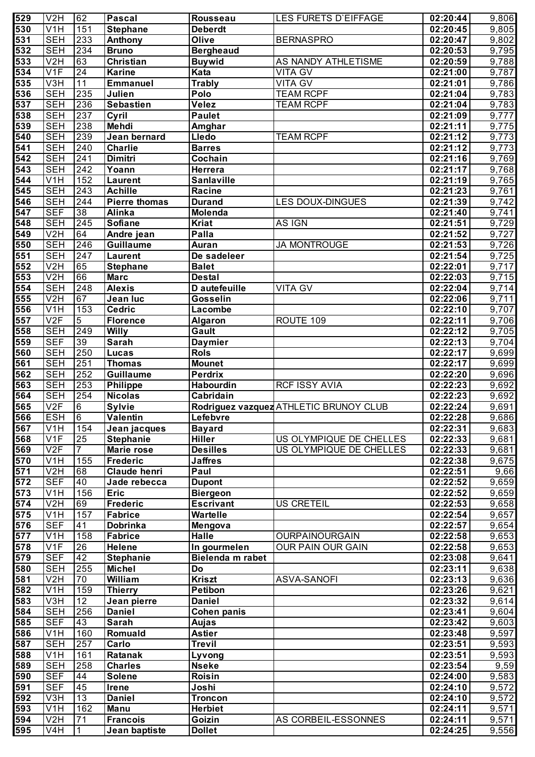| 529              | V <sub>2</sub> H        | 62              | <b>Pascal</b>        | Rousseau           | LES FURETS D'EIFFAGE                   | 02:20:44 | 9,806              |
|------------------|-------------------------|-----------------|----------------------|--------------------|----------------------------------------|----------|--------------------|
| 530              | V <sub>1</sub> H        | 151             | <b>Stephane</b>      | <b>Deberdt</b>     |                                        | 02:20:45 | 9,805              |
| 531              | <b>SEH</b>              | 233             | Anthony              | Olive              | <b>BERNASPRO</b>                       | 02:20:47 | 9,802              |
| 532              | <b>SEH</b>              | 234             | <b>Bruno</b>         | <b>Bergheaud</b>   |                                        | 02:20:53 | 9,795              |
|                  |                         |                 |                      |                    |                                        |          |                    |
| 533              | V2H                     | 63              | Christian            | <b>Buywid</b>      | AS NANDY ATHLETISME                    | 02:20:59 | 9,788              |
| 534              | V1F                     | $\overline{24}$ | <b>Karine</b>        | Kata               | <b>VITA GV</b>                         | 02:21:00 | 9,787              |
| 535              | V3H                     | 11              | <b>Emmanuel</b>      | <b>Trably</b>      | <b>VITA GV</b>                         | 02:21:01 | 9,786              |
| 536              | <b>SEH</b>              | 235             | Julien               | Polo               | <b>TEAM RCPF</b>                       | 02:21:04 | 9,783              |
| 537              | <b>SEH</b>              | 236             | <b>Sebastien</b>     | Velez              | <b>TEAM RCPF</b>                       | 02:21:04 | 9,783              |
| 538              | <b>SEH</b>              | 237             | Cyril                | <b>Paulet</b>      |                                        | 02:21:09 | 9,777              |
| 539              | <b>SEH</b>              | 238             | Mehdi                | Amghar             |                                        | 02:21:11 | 9,775              |
| 540              | <b>SEH</b>              | 239             |                      | Lledo              |                                        | 02:21:12 |                    |
|                  |                         |                 | Jean bernard         |                    | <b>TEAM RCPF</b>                       |          | 9,773              |
| $\overline{541}$ | <b>SEH</b>              | 240             | <b>Charlie</b>       | <b>Barres</b>      |                                        | 02:21:12 | $\overline{9,773}$ |
| 542              | <b>SEH</b>              | 241             | Dimitri              | Cochain            |                                        | 02:21:16 | 9,769              |
| $\overline{543}$ | <b>SEH</b>              | 242             | Yoann                | Herrera            |                                        | 02:21:17 | 9,768              |
| 544              | V1H                     | 152             | <b>Laurent</b>       | <b>Sanlaville</b>  |                                        | 02:21:19 | 9,765              |
| 545              | <b>SEH</b>              | 243             | <b>Achille</b>       | Racine             |                                        | 02:21:23 | 9,761              |
| 546              | <b>SEH</b>              | 244             | <b>Pierre thomas</b> | <b>Durand</b>      | LES DOUX-DINGUES                       | 02:21:39 | 9,742              |
| 547              | <b>SEF</b>              | $\overline{38}$ | Alinka               | <b>Molenda</b>     |                                        | 02:21:40 | 9,741              |
| 548              | <b>SEH</b>              | 245             | Sofiane              | <b>Kriat</b>       | AS IGN                                 | 02:21:51 | 9,729              |
|                  |                         |                 |                      |                    |                                        |          |                    |
| 549              | V2H                     | 64              | Andre jean           | Palla              |                                        | 02:21:52 | 9,727              |
| 550              | <b>SEH</b>              | 246             | <b>Guillaume</b>     | Auran              | <b>JA MONTROUGE</b>                    | 02:21:53 | 9,726              |
| 551              | <b>SEH</b>              | 247             | <b>Laurent</b>       | De sadeleer        |                                        | 02:21:54 | 9,725              |
| 552              | V2H                     | 65              | <b>Stephane</b>      | <b>Balet</b>       |                                        | 02:22:01 | 9,717              |
| 553              | $\overline{V2H}$        | 66              | <b>Marc</b>          | <b>Destal</b>      |                                        | 02:22:03 | 9,715              |
| 554              | <b>SEH</b>              | 248             | <b>Alexis</b>        | D autefeuille      | <b>VITA GV</b>                         | 02:22:04 | 9,714              |
| 555              | V2H                     | 67              | Jean luc             | Gosselin           |                                        | 02:22:06 | 9,711              |
| 556              | V <sub>1</sub> H        | 153             | <b>Cedric</b>        | Lacombe            |                                        | 02:22:10 | 9,707              |
|                  |                         |                 |                      |                    |                                        |          |                    |
| 557              | V2F                     | 5               | <b>Florence</b>      | Algaron            | ROUTE 109                              | 02:22:11 | 9,706              |
| 558              | <b>SEH</b>              | 249             | <b>Willy</b>         | Gault              |                                        | 02:22:12 | 9,705              |
| 559              | <b>SEF</b>              | 39              | <b>Sarah</b>         | <b>Daymier</b>     |                                        | 02:22:13 | 9,704              |
| 560              | <b>SEH</b>              | 250             | Lucas                | <b>Rols</b>        |                                        | 02:22:17 | 9,699              |
| 561              | <b>SEH</b>              | 251             | Thomas               | <b>Mounet</b>      |                                        | 02:22:17 | 9,699              |
| 562              | <b>SEH</b>              | 252             | Guillaume            | Perdrix            |                                        | 02:22:20 | 9,696              |
| 563              | <b>SEH</b>              | 253             | <b>Philippe</b>      | Habourdin          | <b>RCF ISSY AVIA</b>                   | 02:22:23 | 9,692              |
| 564              | <b>SEH</b>              | 254             | <b>Nicolas</b>       | Cabridain          |                                        | 02:22:23 | 9,692              |
|                  | V2F                     |                 |                      |                    |                                        |          |                    |
| 565              |                         | 6               | <b>Sylvie</b>        |                    | Rodriguez vazquez ATHLETIC BRUNOY CLUB | 02:22:24 | $\overline{9,691}$ |
| 566              | <b>ESH</b>              | 6               | Valentin             | Lefebvre           |                                        | 02:22:28 | 9,686              |
| 567              | V <sub>1</sub> H        | 154             | Jean jacques         | <b>Bayard</b>      |                                        | 02:22:31 | 9,683              |
| 568              | V1F                     | $\overline{25}$ | <b>Stephanie</b>     | <b>Hiller</b>      | US OLYMPIQUE DE CHELLES                | 02:22:33 | 9,681              |
| 569              | V2F                     |                 | <b>Marie rose</b>    | <b>Desilles</b>    | US OLYMPIQUE DE CHELLES                | 02:22:33 | 9,681              |
| 570              | V <sub>1</sub> H        | 155             | <b>Frederic</b>      | <b>Jaffres</b>     |                                        | 02:22:38 | 9,675              |
| 571              | $\overline{\text{V2H}}$ | 68              | <b>Claude henri</b>  | Paul               |                                        | 02:22:51 | $\overline{9,66}$  |
| $\overline{572}$ | <b>SEF</b>              | 40              | Jade rebecca         | <b>Dupont</b>      |                                        | 02:22:52 | 9,659              |
| 573              | V <sub>1</sub> H        | 156             | <b>Eric</b>          | <b>Biergeon</b>    |                                        | 02:22:52 | 9,659              |
|                  |                         |                 |                      |                    |                                        |          |                    |
| 574              | $\overline{\text{V2H}}$ | 69              | <b>Frederic</b>      | <b>Escrivant</b>   | <b>US CRETEIL</b>                      | 02:22:53 | 9,658              |
| 575              | V <sub>1</sub> H        | 157             | <b>Fabrice</b>       | Wartelle           |                                        | 02:22:54 | 9,657              |
| 576              | <b>SEF</b>              | 41              | Dobrinka             | Mengova            |                                        | 02:22:57 | 9,654              |
| 577              | V <sub>1</sub> H        | 158             | <b>Fabrice</b>       | <b>Halle</b>       | <b>OURPAINOURGAIN</b>                  | 02:22:58 | 9,653              |
| 578              | V1F                     | $\overline{26}$ | <b>Helene</b>        | In gourmelen       | OUR PAIN OUR GAIN                      | 02:22:58 | 9,653              |
| 579              | <b>SEF</b>              | $\overline{42}$ | <b>Stephanie</b>     | Bielenda m rabet   |                                        | 02:23:08 | 9,641              |
| 580              | <b>SEH</b>              | 255             | <b>Michel</b>        | Do                 |                                        | 02:23:11 | 9,638              |
| 581              | V2H                     | 70              | William              | <b>Kriszt</b>      | ASVA-SANOFI                            | 02:23:13 | 9,636              |
|                  | V1H                     | 159             | <b>Thierry</b>       | <b>Petibon</b>     |                                        |          |                    |
| 582              |                         |                 |                      |                    |                                        | 02:23:26 | 9,621              |
| 583              | V3H                     | 12              | Jean pierre          | <b>Daniel</b>      |                                        | 02:23:32 | 9,614              |
| 584              | <b>SEH</b>              | 256             | <b>Daniel</b>        | <b>Cohen panis</b> |                                        | 02:23:41 | 9,604              |
| 585              | <b>SEF</b>              | 43              | Sarah                | Aujas              |                                        | 02:23:42 | 9,603              |
| 586              | V <sub>1</sub> H        | 160             | Romuald              | <b>Astier</b>      |                                        | 02:23:48 | 9,597              |
| 587              | <b>SEH</b>              | 257             | Carlo                | <b>Trevil</b>      |                                        | 02:23:51 | 9,593              |
| 588              | V <sub>1</sub> H        | 161             | Ratanak              | Lyvong             |                                        | 02:23:51 | 9,593              |
| 589              | <b>SEH</b>              | 258             | <b>Charles</b>       | <b>Nseke</b>       |                                        | 02:23:54 | 9,59               |
| 590              | <b>SEF</b>              | 44              | <b>Solene</b>        | Roisin             |                                        | 02:24:00 | 9,583              |
|                  |                         |                 |                      |                    |                                        |          |                    |
| 591              | <b>SEF</b>              | 45              | <b>Irene</b>         | Joshi              |                                        | 02:24:10 | 9,572              |
| 592              | V3H                     | 13              | <b>Daniel</b>        | <b>Troncon</b>     |                                        | 02:24:10 | 9,572              |
| 593              | V1H                     | 162             | <b>Manu</b>          | <b>Herbiet</b>     |                                        | 02:24:11 | 9,571              |
| 594              | V2H                     | 71              | <b>Francois</b>      | Goizin             | AS CORBEIL-ESSONNES                    | 02:24:11 | 9,571              |
| 595              | V4H                     | 1               | Jean baptiste        | <b>Dollet</b>      |                                        | 02:24:25 | 9,556              |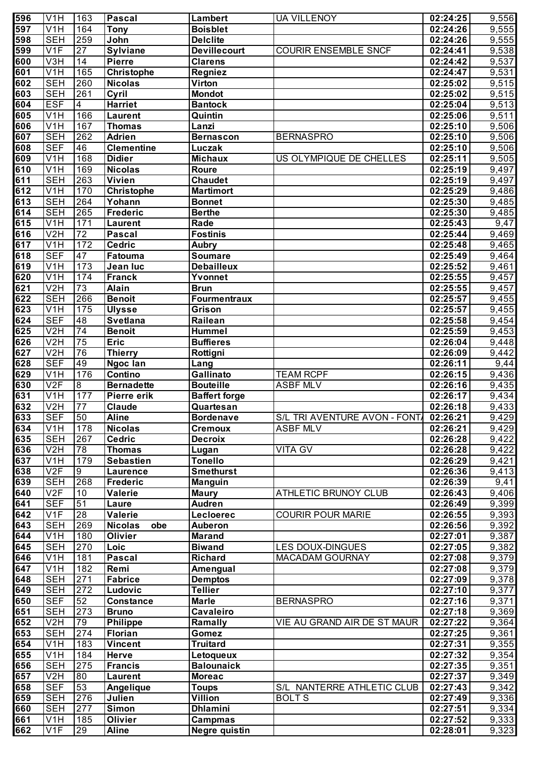| 596              | V <sub>1</sub> H        | 163              | Pascal                | Lambert              | <b>UA VILLENOY</b>                    | 02:24:25 | 9,556              |
|------------------|-------------------------|------------------|-----------------------|----------------------|---------------------------------------|----------|--------------------|
| 597              | V1H                     | 164              | <b>Tony</b>           | <b>Boisblet</b>      |                                       | 02:24:26 | $\overline{9,555}$ |
| 598              | <b>SEH</b>              | 259              | John                  | <b>Delclite</b>      |                                       | 02:24:26 | 9,555              |
| 599              | V1F                     | $\overline{27}$  | <b>Sylviane</b>       | <b>Devillecourt</b>  | <b>COURIR ENSEMBLE SNCF</b>           | 02:24:41 | 9,538              |
| 600              | V <sub>3</sub> H        | $\overline{14}$  | <b>Pierre</b>         | <b>Clarens</b>       |                                       | 02:24:42 | 9,537              |
| 601              | V <sub>1</sub> H        | 165              | Christophe            | <b>Regniez</b>       |                                       | 02:24:47 | 9,531              |
| 602              | <b>SEH</b>              | 260              | <b>Nicolas</b>        | Virton               |                                       | 02:25:02 | 9,515              |
| 603              | <b>SEH</b>              | 261              | Cyril                 | <b>Mondot</b>        |                                       | 02:25:02 | $\overline{9,515}$ |
| 604              | <b>ESF</b>              | $\overline{4}$   | <b>Harriet</b>        | <b>Bantock</b>       |                                       | 02:25:04 | 9,513              |
| 605              | V1H                     | 166              |                       | Quintin              |                                       | 02:25:06 | 9,511              |
|                  |                         | 167              | <b>Laurent</b>        |                      |                                       |          |                    |
| 606              | V1H                     |                  | <b>Thomas</b>         | Lanzi                |                                       | 02:25:10 | 9,506              |
| 607              | <b>SEH</b>              | $\overline{262}$ | <b>Adrien</b>         | <b>Bernascon</b>     | <b>BERNASPRO</b>                      | 02:25:10 | 9,506              |
| 608              | <b>SEF</b>              | 46               | <b>Clementine</b>     | Luczak               |                                       | 02:25:10 | 9,506              |
| 609              | V1H                     | 168              | <b>Didier</b>         | <b>Michaux</b>       | US OLYMPIQUE DE CHELLES               | 02:25:11 | $\overline{9,505}$ |
| 610              | V1H                     | 169              | <b>Nicolas</b>        | Roure                |                                       | 02:25:19 | $\overline{9,}497$ |
| 611              | <b>SEH</b>              | 263              | <b>Vivien</b>         | <b>Chaudet</b>       |                                       | 02:25:19 | 9,497              |
| 612              | V1H                     | 170              | <b>Christophe</b>     | <b>Martimort</b>     |                                       | 02:25:29 | $\overline{9,}486$ |
| 613              | <b>SEH</b>              | 264              | Yohann                | <b>Bonnet</b>        |                                       | 02:25:30 | $\overline{9,}485$ |
| 614              | <b>SEH</b>              | 265              | <b>Frederic</b>       | <b>Berthe</b>        |                                       | 02:25:30 | 9,485              |
| 615              | V1H                     | 171              | <b>Laurent</b>        | Rade                 |                                       | 02:25:43 | 9,47               |
| 616              | $\overline{\text{V2H}}$ | $\overline{72}$  | <b>Pascal</b>         | <b>Fostinis</b>      |                                       | 02:25:44 | 9,469              |
| 617              | V1H                     | 172              | <b>Cedric</b>         | <b>Aubry</b>         |                                       | 02:25:48 | $\overline{9,}465$ |
| 618              | <b>SEF</b>              | 47               | Fatouma               | <b>Soumare</b>       |                                       | 02:25:49 | 9,464              |
| 619              | V1H                     | 173              | Jean luc              | <b>Debailleux</b>    |                                       | 02:25:52 | 9,461              |
| 620              | V1H                     | 174              | <b>Franck</b>         | Yvonnet              |                                       | 02:25:55 | 9,457              |
| 621              | V2H                     | 73               | <b>Alain</b>          | <b>Brun</b>          |                                       | 02:25:55 | 9,457              |
| 622              | <b>SEH</b>              | 266              | <b>Benoit</b>         | <b>Fourmentraux</b>  |                                       | 02:25:57 | 9,455              |
| 623              | V1H                     | 175              | <b>Ulysse</b>         | Grison               |                                       | 02:25:57 | 9,455              |
| 624              | <b>SEF</b>              | $\overline{48}$  | <b>Svetlana</b>       | Railean              |                                       | 02:25:58 | 9,454              |
| 625              | V2H                     | $\overline{74}$  | <b>Benoit</b>         | <b>Hummel</b>        |                                       | 02:25:59 | 9,453              |
| 626              | $\overline{\text{V2H}}$ | 75               | <b>Eric</b>           |                      |                                       |          |                    |
|                  |                         |                  |                       | <b>Buffieres</b>     |                                       | 02:26:04 | 9,448              |
| 627              | V2H                     | 76               | Thierry               | Rottigni             |                                       | 02:26:09 | 9,442              |
| 628              | <b>SEF</b>              | 49               | Ngoc lan              | Lang                 |                                       | 02:26:11 | 9,44               |
| 629              | V1H                     | 176              | Contino               | Gallinato            | <b>TEAM RCPF</b>                      | 02:26:15 | 9,436              |
| 630              | V2F                     | $\delta$         | <b>Bernadette</b>     | <b>Bouteille</b>     | <b>ASBF MLV</b>                       | 02:26:16 | 9,435              |
| 631              | V1H                     | 177              | Pierre erik           | <b>Baffert forge</b> |                                       | 02:26:17 | $\overline{9,434}$ |
| 632              | V2H                     | $\overline{77}$  | Claude                | Quartesan            |                                       | 02:26:18 | 9,433              |
| $\overline{633}$ | <b>SEF</b>              | 50               | <b>Aline</b>          | <b>Bordenave</b>     | S/L TRI AVENTURE AVON - FONT 02:26:21 |          | 9,429              |
| 634              | V <sub>1</sub> H        | 178              | <b>Nicolas</b>        | <b>Cremoux</b>       | <b>ASBF MLV</b>                       | 02:26:21 | 9,429              |
| 635              | <b>SEH</b>              | 267              | <b>Cedric</b>         | <b>Decroix</b>       |                                       | 02:26:28 | 9,422              |
| 636              | V2H                     | $\overline{78}$  | <b>Thomas</b>         | Lugan                | <b>VITA GV</b>                        | 02:26:28 | 9,422              |
| 637              | V <sub>1</sub> H        | 179              | <b>Sebastien</b>      | <b>Tonello</b>       |                                       | 02:26:29 | 9,421              |
| 638              | $\overline{V2F}$        | $\overline{9}$   | <b>Laurence</b>       | <b>Smethurst</b>     |                                       | 02:26:36 | 9,413              |
| 639              | <b>SEH</b>              | 268              | <b>Frederic</b>       | <b>Manguin</b>       |                                       | 02:26:39 | 9,41               |
| 640              | V2F                     | 10               | <b>Valerie</b>        | <b>Maury</b>         | ATHLETIC BRUNOY CLUB                  | 02:26:43 | 9,406              |
| 641              | <b>SEF</b>              | 51               | Laure                 | <b>Audren</b>        |                                       | 02:26:49 | 9,399              |
| 642              | V1F                     | $\overline{28}$  | <b>Valerie</b>        | Lecloerec            | <b>COURIR POUR MARIE</b>              | 02:26:55 | 9,393              |
| 643              | <b>SEH</b>              | 269              | <b>Nicolas</b><br>obe | <b>Auberon</b>       |                                       | 02:26:56 | 9,392              |
| 644              | V <sub>1</sub> H        | 180              | <b>Olivier</b>        | <b>Marand</b>        |                                       | 02:27:01 | 9,387              |
| 645              | <b>SEH</b>              | 270              | Loic                  | <b>Biwand</b>        | <b>LES DOUX-DINGUES</b>               | 02:27:05 | 9,382              |
| 646              | V <sub>1</sub> H        | 181              | <b>Pascal</b>         | <b>Richard</b>       | <b>MACADAM GOURNAY</b>                | 02:27:08 | 9,379              |
| 647              | V1H                     | 182              | Remi                  | Amengual             |                                       | 02:27:08 | 9,379              |
| 648              | <b>SEH</b>              | 271              | <b>Fabrice</b>        | <b>Demptos</b>       |                                       | 02:27:09 | 9,378              |
| 649              | <b>SEH</b>              | 272              |                       | <b>Tellier</b>       |                                       | 02:27:10 |                    |
|                  |                         |                  | Ludovic               |                      |                                       |          | 9,377              |
| 650              | <b>SEF</b>              | 52               | <b>Constance</b>      | <b>Marle</b>         | <b>BERNASPRO</b>                      | 02:27:16 | 9,371              |
| 651              | <b>SEH</b>              | 273              | <b>Bruno</b>          | Cavaleiro            |                                       | 02:27:18 | 9,369              |
| 652              | V <sub>2</sub> H        | 79               | <b>Philippe</b>       | Ramally              | VIE AU GRAND AIR DE ST MAUR           | 02:27:22 | 9,364              |
| 653              | <b>SEH</b>              | 274              | Florian               | Gomez                |                                       | 02:27:25 | 9,361              |
| 654              | V <sub>1</sub> H        | 183              | <b>Vincent</b>        | <b>Truitard</b>      |                                       | 02:27:31 | 9,355              |
| 655              | V <sub>1</sub> H        | 184              | <b>Herve</b>          | Letoqueux            |                                       | 02:27:32 | 9,354              |
| 656              | <b>SEH</b>              | 275              | <b>Francis</b>        | <b>Balounaick</b>    |                                       | 02:27:35 | 9,351              |
| 657              | V <sub>2</sub> H        | 80               | <b>Laurent</b>        | <b>Moreac</b>        |                                       | 02:27:37 | 9,349              |
| 658              | <b>SEF</b>              | 53               | Angelique             | <b>Toups</b>         | S/L NANTERRE ATHLETIC CLUB            | 02:27:43 | 9,342              |
| 659              | <b>SEH</b>              | 276              | Julien                | Villion              | <b>BOLTS</b>                          | 02:27:49 | 9,336              |
| 660              | <b>SEH</b>              | 277              | <b>Simon</b>          | <b>Dhlamini</b>      |                                       | 02:27:51 | 9,334              |
| 661              | $\overline{V}$ 1H       | 185              | Olivier               | Campmas              |                                       | 02:27:52 | 9,333              |
| 662              | V1F                     | 29               | <b>Aline</b>          | <b>Negre quistin</b> |                                       | 02:28:01 | 9,323              |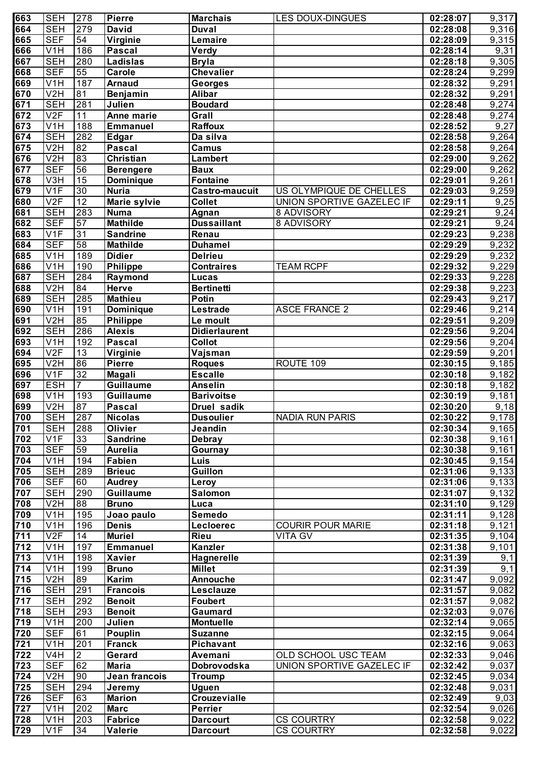| 663              | <b>SEH</b>       | 278                    | <b>Pierre</b>                     | <b>Marchais</b>         | <b>LES DOUX-DINGUES</b>   | 02:28:07              | 9,317                |
|------------------|------------------|------------------------|-----------------------------------|-------------------------|---------------------------|-----------------------|----------------------|
| 664              | <b>SEH</b>       | 279                    | <b>David</b>                      | <b>Duval</b>            |                           | 02:28:08              | 9,316                |
| 665              | <b>SEF</b>       | 54                     | Virginie                          | Lemaire                 |                           | $\overline{02:}28:09$ | 9,315                |
| 666              | V1H              | 186                    | <b>Pascal</b>                     | Verdy                   |                           | 02:28:14              | 9,31                 |
| 667              | <b>SEH</b>       | 280                    | Ladislas                          | <b>Bryla</b>            |                           | 02:28:18              | 9,305                |
| 668              | <b>SEF</b>       | 55                     | Carole                            | <b>Chevalier</b>        |                           | 02:28:24              | 9,299                |
| 669              | V <sub>1</sub> H | 187                    | <b>Arnaud</b>                     | <b>Georges</b>          |                           | 02:28:32              | 9,291                |
| 670              | V2H              | 81                     | Benjamin                          | <b>Alibar</b>           |                           | 02:28:32              | 9,291                |
| 671              | <b>SEH</b>       | 281                    | Julien                            | <b>Boudard</b>          |                           | 02:28:48              | 9,274                |
| 672              | V2F              | $\overline{11}$        | Anne marie                        | Grall                   |                           | 02:28:48              | 9,274                |
| 673              | V1H              | 188                    | Emmanuel                          | <b>Raffoux</b>          |                           | 02:28:52              | 9,27                 |
| 674              | <b>SEH</b>       | 282                    | <b>Edgar</b>                      | Da silva                |                           | 02:28:58              | 9,264                |
| 675              | V2H              | 82                     | <b>Pascal</b>                     | <b>Camus</b>            |                           | 02:28:58              | 9,264                |
| 676              | V2H              | 83                     | Christian                         | <b>Lambert</b>          |                           | 02:29:00              | 9,262                |
| 677              | <b>SEF</b>       | 56                     | <b>Berengere</b>                  | <b>Baux</b>             |                           | 02:29:00              | 9,262                |
| 678              | V3H              | 15                     | Dominique                         | Fontaine                |                           | 02:29:01              | 9,261                |
| 679              | V <sub>1F</sub>  | 30                     | <b>Nuria</b>                      | <b>Castro-maucuit</b>   | US OLYMPIQUE DE CHELLES   | 02:29:03              | 9,259                |
| 680              | V2F              | 12                     | Marie sylvie                      | <b>Collet</b>           | UNION SPORTIVE GAZELEC IF | 02:29:11              | $\overline{9,25}$    |
| 681              | <b>SEH</b>       | 283                    | <b>Numa</b>                       | Agnan                   | 8 ADVISORY                | 02:29:21              | 9,24                 |
| 682              | <b>SEF</b>       | $\overline{57}$        | <b>Mathilde</b>                   | <b>Dussaillant</b>      | 8 ADVISORY                | 02:29:21              | 9,24                 |
| 683              | V <sub>1F</sub>  | 31                     | <b>Sandrine</b>                   | Renau                   |                           | 02:29:23              | 9,238                |
| 684              | <b>SEF</b>       | 58                     | <b>Mathilde</b>                   | <b>Duhamel</b>          |                           | 02:29:29              | 9,232                |
| 685              | V <sub>1</sub> H | 189                    | <b>Didier</b>                     | <b>Delrieu</b>          |                           | 02:29:29              | 9,232                |
| 686              | V1H              | 190                    | Philippe                          | <b>Contraires</b>       | <b>TEAM RCPF</b>          | 02:29:32              | 9,229                |
| 687              | <b>SEH</b>       | 284                    | Raymond                           | Lucas                   |                           | 02:29:33              | 9,228                |
| 688              | V2H              | 84                     | Herve                             | <b>Bertinetti</b>       |                           | 02:29:38              | 9,223                |
| 689              | <b>SEH</b>       | 285                    | <b>Mathieu</b>                    | Potin                   |                           | 02:29:43              | 9,217                |
| 690              | V <sub>1</sub> H | 191                    | Dominique                         | Lestrade                | <b>ASCE FRANCE 2</b>      | 02:29:46              | 9,214                |
| $\overline{691}$ | V2H              | 85                     | <b>Philippe</b>                   | Le moult                |                           | 02:29:51              | 9,209                |
| 692              | <b>SEH</b>       | 286                    | <b>Alexis</b>                     | <b>Didierlaurent</b>    |                           | 02:29:56              | 9,204                |
| 693              | V <sub>1</sub> H | 192                    | <b>Pascal</b>                     | <b>Collot</b>           |                           | 02:29:56              | 9,204                |
| 694              | V2F              | $\overline{13}$        | Virginie                          | Vajsman                 |                           | 02:29:59              | 9,201                |
| 695              | V2H              | 86                     | <b>Pierre</b>                     | <b>Roques</b>           | ROUTE 109                 | 02:30:15              | 9,185                |
| 696              | V <sub>1F</sub>  | 32                     | <b>Magali</b>                     | <b>Escalle</b>          |                           | 02:30:18              |                      |
| 697              | <b>ESH</b>       | $\overline{7}$         | Guillaume                         | <b>Anselin</b>          |                           | 02:30:18              | 9,182<br>9,182       |
| 698              | V1H              | 193                    | <b>Guillaume</b>                  | <b>Barivoitse</b>       |                           | 02:30:19              | $\overline{9,181}$   |
| 699              | V2H              | 87                     | <b>Pascal</b>                     | Druel sadik             |                           | 02:30:20              | $\overline{9,18}$    |
| 700              | <b>SEH</b>       |                        | <b>Nicolas</b>                    | <b>Dusoulier</b>        | <b>NADIA RUN PARIS</b>    | 02:30:22              | 9,178                |
| 701              | <b>SEH</b>       | 287                    | <b>Olivier</b>                    | Jeandin                 |                           |                       |                      |
| 702              | V1F              | 288<br>$\overline{33}$ |                                   |                         |                           | 02:30:34<br>02:30:38  | 9,165                |
|                  |                  |                        | <b>Sandrine</b><br><b>Aurelia</b> | <b>Debray</b>           |                           |                       | $\overline{9}$ , 161 |
| 703              | <b>SEF</b>       | 59                     | <b>Fabien</b>                     | Gournay                 |                           | 02:30:38              | 9,161                |
| 704              | V1H              | 194                    |                                   | Luis                    |                           | 02:30:45              | $\overline{9,154}$   |
| 705<br>706       | <b>SEH</b>       | 289<br>60              | <b>Brieuc</b>                     | <b>Guillon</b>          |                           | 02:31:06              | 9,133                |
|                  | <b>SEF</b>       |                        | <b>Audrey</b>                     | Leroy<br><b>Salomon</b> |                           | 02:31:06              | 9,133                |
| 707              | <b>SEH</b>       | 290                    | <b>Guillaume</b>                  |                         |                           | 02:31:07              | 9,132                |
| 708              | V2H              | 88                     | <b>Bruno</b>                      | Luca                    |                           | 02:31:10              | 9,129                |
| 709              | $\overline{V1H}$ | 195                    | Joao paulo                        | Semedo                  |                           | 02:31:11              | 9,128                |
| 710              | $\overline{V1H}$ | 196                    | <b>Denis</b>                      | Lecloerec               | <b>COURIR POUR MARIE</b>  | 02:31:18              | 9,121                |
| 711              | V2F              | 14                     | <b>Muriel</b>                     | Rieu                    | <b>VITA GV</b>            | 02:31:35              | 9,104                |
| 712              | $\overline{V1H}$ | 197                    | <b>Emmanuel</b>                   | <b>Kanzler</b>          |                           | 02:31:38              | 9,101                |
| 713              | $\overline{V1H}$ | 198                    | <b>Xavier</b>                     | Hagnerelle              |                           | 02:31:39              | 9,1                  |
| 714              | V <sub>1</sub> H | 199                    | <b>Bruno</b>                      | <b>Millet</b>           |                           | 02:31:39              | 9,1                  |
| 715              | V2H              | 89                     | <b>Karim</b>                      | <b>Annouche</b>         |                           | 02:31:47              | 9,092                |
| 716              | <b>SEH</b>       | 291                    | <b>Francois</b>                   | <b>Lesclauze</b>        |                           | 02:31:57              | 9,082                |
| 717              | <b>SEH</b>       | 292                    | <b>Benoit</b>                     | <b>Foubert</b>          |                           | 02:31:57              | 9,082                |
| 718              | <b>SEH</b>       | 293                    | <b>Benoit</b>                     | Gaumard                 |                           | 02:32:03              | 9,076                |
| 719              | V <sub>1</sub> H | 200                    | Julien                            | <b>Montuelle</b>        |                           | 02:32:14              | 9,065                |
| 720              | <b>SEF</b>       | 61                     | <b>Pouplin</b>                    | <b>Suzanne</b>          |                           | 02:32:15              | 9,064                |
| 721              | V <sub>1</sub> H | 201                    | <b>Franck</b>                     | <b>Pichavant</b>        |                           | 02:32:16              | 9,063                |
| 722              | V <sub>4</sub> H | $\overline{2}$         | Gerard                            | Avemani                 | OLD SCHOOL USC TEAM       | 02:32:33              | 9,046                |
| 723              | <b>SEF</b>       | 62                     | <b>Maria</b>                      | Dobrovodska             | UNION SPORTIVE GAZELEC IF | 02:32:42              | 9,037                |
| 724              | V2H              | 90                     | Jean francois                     | <b>Troump</b>           |                           | 02:32:45              | 9,034                |
| 725              | <b>SEH</b>       | 294                    | Jeremy                            | <b>Uguen</b>            |                           | 02:32:48              | 9,031                |
| 726              | <b>SEF</b>       | 63                     | <b>Marion</b>                     | <b>Crouzevialle</b>     |                           | 02:32:49              | 9,03                 |
| 727              | V <sub>1</sub> H | 202                    | <b>Marc</b>                       | <b>Perrier</b>          |                           | 02:32:54              | 9,026                |
| 728              | V <sub>1</sub> H | 203                    | <b>Fabrice</b>                    | <b>Darcourt</b>         | <b>CS COURTRY</b>         | 02:32:58              | 9,022                |
| 729              | V1F              | 34                     | Valerie                           | <b>Darcourt</b>         | <b>CS COURTRY</b>         | 02:32:58              | 9,022                |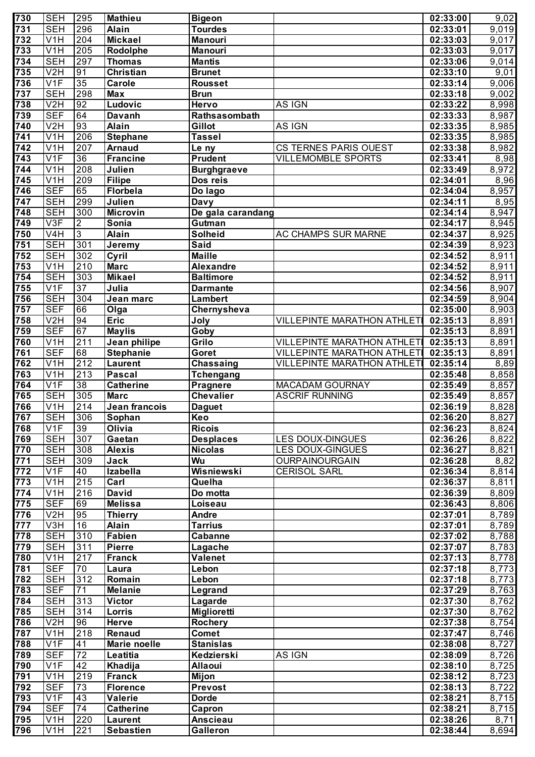| 730              | <b>SEH</b>                           | 295             | <b>Mathieu</b>                  | <b>Bigeon</b>                       |                                                 | 02:33:00             | 9,02               |
|------------------|--------------------------------------|-----------------|---------------------------------|-------------------------------------|-------------------------------------------------|----------------------|--------------------|
| 731              | <b>SEH</b>                           | 296             | <b>Alain</b>                    | <b>Tourdes</b>                      |                                                 | 02:33:01             | $\overline{9,019}$ |
| 732              | V1H                                  | 204             | <b>Mickael</b>                  | <b>Manouri</b>                      |                                                 | 02:33:03             | 9,017              |
| 733              | V1H                                  | 205             | Rodolphe                        | Manouri                             |                                                 | 02:33:03             | 9,017              |
| 734              | <b>SEH</b>                           | 297             | <b>Thomas</b>                   | <b>Mantis</b>                       |                                                 | 02:33:06             | $\overline{9,014}$ |
| 735              | V2H                                  | 91              | Christian                       | <b>Brunet</b>                       |                                                 | 02:33:10             | 9,01               |
| 736              | V1F                                  | 35              | <b>Carole</b>                   | Rousset                             |                                                 | 02:33:14             | 9,006              |
| 737              | <b>SEH</b>                           | 298             | <b>Max</b>                      | <b>Brun</b>                         |                                                 | 02:33:18             | $\overline{9,002}$ |
| 738              | V2H                                  | 92              | Ludovic                         | <b>Hervo</b>                        | AS IGN                                          | 02:33:22             | 8,998              |
| 739              | <b>SEF</b>                           | 64              | <b>Davanh</b>                   | Rathsasombath                       |                                                 | 02:33:33             | 8,987              |
| 740              | V2H                                  | 93              | <b>Alain</b>                    | Gillot                              | AS IGN                                          | 02:33:35             | 8,985              |
| $\overline{741}$ | $\overline{\text{V1H}}$              | 206             | <b>Stephane</b>                 | <b>Tassel</b>                       |                                                 | 02:33:35             | 8,985              |
| $\overline{742}$ | V1H                                  | 207             | <b>Arnaud</b>                   | Le ny                               | CS TERNES PARIS OUEST                           | 02:33:38             | 8,982              |
| 743              | $\overline{\mathsf{V1F}}$            | 36              | <b>Francine</b>                 | <b>Prudent</b>                      | <b>VILLEMOMBLE SPORTS</b>                       | 02:33:41             | $\sqrt{8,98}$      |
| 744              | V <sub>1</sub> H                     | 208             | Julien                          | <b>Burghgraeve</b>                  |                                                 | 02:33:49             | 8,972              |
| $\overline{745}$ | V1H                                  | 209             | Filipe                          | Dos reis                            |                                                 | 02:34:01             | $\overline{8,96}$  |
| $\overline{746}$ | <b>SEF</b>                           | 65              | Florbela                        | Do lago                             |                                                 | 02:34:04             | 8,957              |
| 747              | <b>SEH</b>                           | 299             | Julien                          | <b>Davy</b>                         |                                                 | 02:34:11             | 8,95               |
| $\frac{1}{748}$  | <b>SEH</b>                           | 300             | <b>Microvin</b>                 | De gala carandang                   |                                                 | 02:34:14             | 8,947              |
| 749              | V3F                                  | $\overline{2}$  | Sonia                           | Gutman                              |                                                 | 02:34:17             | 8,945              |
| 750              | V <sub>4</sub> H                     | $\overline{3}$  | <b>Alain</b>                    | <b>Solheid</b>                      | <b>AC CHAMPS SUR MARNE</b>                      | 02:34:37             | 8,925              |
| $\overline{751}$ | <b>SEH</b>                           | 301             | Jeremy                          | <b>Said</b>                         |                                                 | 02:34:39             | 8,923              |
| 752              | <b>SEH</b>                           | 302             | Cyril                           | <b>Maille</b>                       |                                                 | 02:34:52             | 8,911              |
| 753              | V1H                                  | 210             | <b>Marc</b>                     | <b>Alexandre</b>                    |                                                 | 02:34:52             | 8,911              |
| 754              | <b>SEH</b>                           | 303             | <b>Mikael</b>                   | <b>Baltimore</b>                    |                                                 | 02:34:52             | 8,911              |
| 755              | V <sub>1F</sub>                      | 37              | Julia                           | <b>Darmante</b>                     |                                                 | 02:34:56             | 8,907              |
| 756              | <b>SEH</b>                           | 304             | Jean marc                       | Lambert                             |                                                 | 02:34:59             | 8,904              |
| 757              | <b>SEF</b>                           | 66              | Olga                            | Chernysheva                         |                                                 | 02:35:00             | 8,903              |
| 758              | V <sub>2</sub> H                     | 94              | <b>Eric</b>                     | Joly                                | VILLEPINTE MARATHON ATHLET                      | 02:35:13             | 8,891              |
| 759              | <b>SEF</b>                           | 67              | <b>Maylis</b>                   | Goby                                |                                                 | 02:35:13             | 8,891              |
| 760              | V1H                                  | 211             | Jean philipe                    | Grilo                               | <b>VILLEPINTE MARATHON ATHLETI</b>              | 02:35:13             | 8,891              |
| 761              | <b>SEF</b>                           | 68              | <b>Stephanie</b>                | Goret                               | <b>VILLEPINTE MARATHON ATHLETI</b>              | 02:35:13             | 8,891              |
| 762<br>763       | V <sub>1</sub> H<br>V <sub>1</sub> H | 212<br>213      | <b>Laurent</b>                  | Chassaing                           | VILLEPINTE MARATHON ATHLET                      | 02:35:14             | 8,89               |
| 764              | $\overline{\text{V1F}}$              | 38              | <b>Pascal</b>                   | <b>Tchengang</b>                    |                                                 | 02:35:48             | $\overline{8,858}$ |
| 765              | <b>SEH</b>                           | 305             | <b>Catherine</b><br><b>Marc</b> | <b>Pragnere</b><br><b>Chevalier</b> | <b>MACADAM GOURNAY</b><br><b>ASCRIF RUNNING</b> | 02:35:49<br>02:35:49 | 8,857<br>8,857     |
| 766              | V1H                                  | 214             | Jean francois                   |                                     |                                                 | 02:36:19             | 8,828              |
| 767              | <b>SEH</b>                           | 306             | Sophan                          | <b>Daguet</b><br>Keo                |                                                 | 02:36:20             | 8,827              |
| 768              | V1F                                  | 39              | Olivia                          | <b>Ricois</b>                       |                                                 | 02:36:23             | 8,824              |
| 769              | <b>SEH</b>                           | 307             | Gaetan                          | <b>Desplaces</b>                    | <b>LES DOUX-DINGUES</b>                         | 02:36:26             | 8,822              |
| 770              | <b>SEH</b>                           | 308             | <b>Alexis</b>                   | <b>Nicolas</b>                      | <b>LES DOUX-GINGUES</b>                         | 02:36:27             | 8,821              |
| 771              | <b>SEH</b>                           | 309             | Jack                            | Wu                                  | <b>OURPAINOURGAIN</b>                           | 02:36:28             | 8,82               |
| 772              | V1F                                  | 40              | <b>Izabella</b>                 | Wisniewski                          | <b>CERISOL SARL</b>                             | 02:36:34             | 8,814              |
| 773              | V <sub>1</sub> H                     | 215             | Carl                            | Quelha                              |                                                 | 02:36:37             | 8,811              |
| $\overline{774}$ | V1H                                  | 216             | David                           | Do motta                            |                                                 | 02:36:39             | 8,809              |
| 775              | <b>SEF</b>                           | 69              | <b>Melissa</b>                  | Loiseau                             |                                                 | 02:36:43             | 8,806              |
| 776              | V2H                                  | 95              | <b>Thierry</b>                  | Andre                               |                                                 | 02:37:01             | 8,789              |
| 777              | V3H                                  | 16              | <b>Alain</b>                    | <b>Tarrius</b>                      |                                                 | 02:37:01             | 8,789              |
| 778              | <b>SEH</b>                           | 310             | <b>Fabien</b>                   | Cabanne                             |                                                 | 02:37:02             | 8,788              |
| 779              | <b>SEH</b>                           | 311             | Pierre                          | Lagache                             |                                                 | 02:37:07             | 8,783              |
| 780              | V <sub>1</sub> H                     | 217             | Franck                          | Valenet                             |                                                 | 02:37:13             | 8,778              |
| 781              | <b>SEF</b>                           | 70              | Laura                           | Lebon                               |                                                 | 02:37:18             | 8,773              |
| 782              | <b>SEH</b>                           | 312             | Romain                          | Lebon                               |                                                 | 02:37:18             | 8,773              |
| 783              | <b>SEF</b>                           | $\overline{71}$ | <b>Melanie</b>                  | Legrand                             |                                                 | 02:37:29             | 8,763              |
| 784              | <b>SEH</b>                           | 313             | <b>Victor</b>                   | Lagarde                             |                                                 | 02:37:30             | 8,762              |
| 785              | <b>SEH</b>                           | 314             | Lorris                          | <b>Miglioretti</b>                  |                                                 | 02:37:30             | 8,762              |
| 786              | V2H                                  | 96              | Herve                           | Rochery                             |                                                 | 02:37:38             | 8,754              |
| 787              | V <sub>1</sub> H                     | 218             | <b>Renaud</b>                   | <b>Comet</b>                        |                                                 | 02:37:47             | 8,746              |
| 788              | V1F                                  | 41              | Marie noelle                    | <b>Stanislas</b>                    |                                                 | 02:38:08             | 8,727              |
| 789              | <b>SEF</b>                           | $\overline{72}$ | Leatitia                        | Kedzierski                          | AS IGN                                          | 02:38:09             | 8,726              |
| 790              | V <sub>1F</sub>                      | 42              | Khadija                         | <b>Allaoui</b>                      |                                                 | 02:38:10             | 8,725              |
| 791              | V1H                                  | 219             | <b>Franck</b>                   | <b>Mijon</b>                        |                                                 | 02:38:12             | 8,723              |
| 792              | <b>SEF</b>                           | $\overline{73}$ | <b>Florence</b>                 | Prevost                             |                                                 | 02:38:13             | 8,722              |
| 793              | V <sub>1F</sub>                      | 43              | Valerie                         | <b>Dorde</b>                        |                                                 | 02:38:21             | 8,715              |
| 794              | <b>SEF</b>                           | $\overline{74}$ | <b>Catherine</b>                | Capron                              |                                                 | 02:38:21             | 8,715              |
| 795              | $\overline{V}$ 1H                    | 220             | <b>Laurent</b>                  | <b>Anscieau</b>                     |                                                 | 02:38:26             | 8,71               |
| 796              | V <sub>1</sub> H                     | 221             | <b>Sebastien</b>                | Galleron                            |                                                 | 02:38:44             | 8,694              |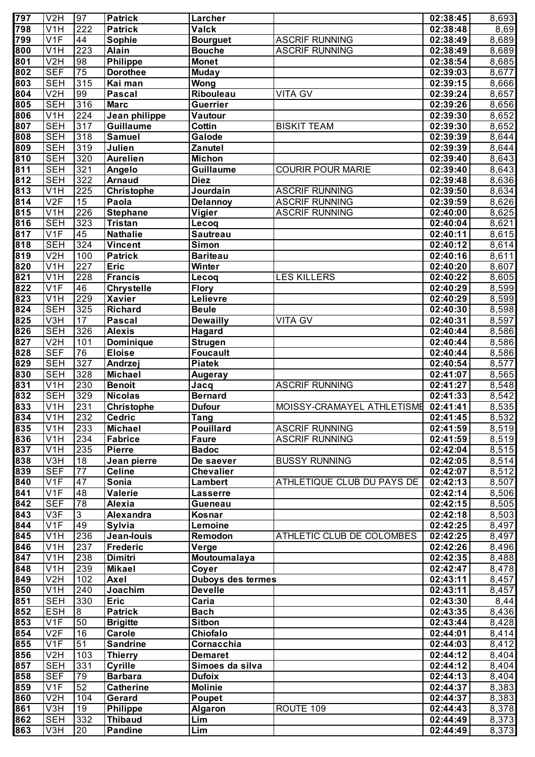| 797              | V2H                     | 97               | <b>Patrick</b>    | Larcher                         |                            | 02:38:45              | 8,693              |
|------------------|-------------------------|------------------|-------------------|---------------------------------|----------------------------|-----------------------|--------------------|
| 798              | V <sub>1</sub> H        | 222              | <b>Patrick</b>    | <b>Valck</b>                    |                            | 02:38:48              | 8,69               |
| 799              | V1F                     | 44               | Sophie            | <b>Bourguet</b>                 | <b>ASCRIF RUNNING</b>      | 02:38:49              | 8,689              |
| 800              | V <sub>1</sub> H        | 223              | <b>Alain</b>      | <b>Bouche</b>                   | <b>ASCRIF RUNNING</b>      | 02:38:49              | 8,689              |
| $\overline{801}$ | V2H                     | 98               | <b>Philippe</b>   | <b>Monet</b>                    |                            | 02:38:54              | $\overline{8,685}$ |
| 802              | <b>SEF</b>              | 75               | <b>Dorothee</b>   | <b>Muday</b>                    |                            | 02:39:03              | 8,677              |
| 803              | <b>SEH</b>              | 315              | Kai man           | Wong                            |                            | 02:39:15              | 8,666              |
| 804              | V2H                     | 99               | <b>Pascal</b>     | Ribouleau                       | <b>VITA GV</b>             | 02:39:24              | $\overline{8,657}$ |
| 805              | <b>SEH</b>              | 316              | <b>Marc</b>       | <b>Guerrier</b>                 |                            | 02:39:26              | 8,656              |
| 806              | V1H                     | $\overline{224}$ | Jean philippe     | Vautour                         |                            | 02:39:30              | 8,652              |
| 807              | <b>SEH</b>              | 317              | <b>Guillaume</b>  | Cottin                          | <b>BISKIT TEAM</b>         | 02:39:30              | 8,652              |
| 808              | <b>SEH</b>              | 318              | Samuel            | Galode                          |                            | 02:39:39              | $\overline{8,644}$ |
| 809              | <b>SEH</b>              | 319              | Julien            | <b>Zanutel</b>                  |                            | 02:39:39              | 8,644              |
| $\overline{810}$ | <b>SEH</b>              | 320              | <b>Aurelien</b>   | <b>Michon</b>                   |                            | 02:39:40              | 8,643              |
| $\overline{811}$ | <b>SEH</b>              | 321              | Angelo            | Guillaume                       | <b>COURIR POUR MARIE</b>   | 02:39:40              | $\overline{8,643}$ |
| $\overline{812}$ | <b>SEH</b>              | 322              | <b>Arnaud</b>     | <b>Diez</b>                     |                            | 02:39:48              | 8,636              |
| $\overline{813}$ | V <sub>1</sub> H        | 225              | <b>Christophe</b> | Jourdain                        | <b>ASCRIF RUNNING</b>      | 02:39:50              | 8,634              |
| $\overline{814}$ | V2F                     | 15               | Paola             | <b>Delannoy</b>                 | <b>ASCRIF RUNNING</b>      | 02:39:59              | 8,626              |
| 815              | V <sub>1</sub> H        | 226              | <b>Stephane</b>   | Vigier                          | <b>ASCRIF RUNNING</b>      | 02:40:00              | 8,625              |
| 816              | <b>SEH</b>              | 323              | <b>Tristan</b>    | Lecoq                           |                            | 02:40:04              | 8,621              |
| $\overline{817}$ | V1F                     | 45               | <b>Nathalie</b>   | <b>Sautreau</b>                 |                            | 02:40:11              | 8,615              |
| 818              | <b>SEH</b>              | 324              | <b>Vincent</b>    | <b>Simon</b>                    |                            | 02:40:12              | 8,614              |
| $\overline{819}$ | V2H                     | 100              | <b>Patrick</b>    | <b>Bariteau</b>                 |                            | 02:40:16              | 8,611              |
| 820              | V <sub>1</sub> H        | 227              | <b>Eric</b>       | Winter                          |                            | 02:40:20              | $\overline{8,607}$ |
| $\overline{821}$ | $\overline{\text{V1H}}$ | 228              | <b>Francis</b>    | Lecoq                           | <b>LES KILLERS</b>         | 02:40:22              | 8,605              |
| $\overline{822}$ | V1F                     | 46               | <b>Chrystelle</b> | <b>Flory</b>                    |                            | 02:40:29              | 8,599              |
| $\overline{823}$ | V <sub>1</sub> H        | 229              | <b>Xavier</b>     | Lelievre                        |                            | 02:40:29              | 8,599              |
| $\overline{824}$ | <b>SEH</b>              | 325              | <b>Richard</b>    | <b>Beule</b>                    |                            | 02:40:30              | 8,598              |
| 825              | V3H                     | 17               | Pascal            | <b>Dewailly</b>                 | <b>VITA GV</b>             | 02:40:31              | 8,597              |
| $\overline{826}$ | <b>SEH</b>              | 326              | <b>Alexis</b>     | Hagard                          |                            | 02:40:44              | 8,586              |
| $\overline{827}$ | V2H                     | 101              | Dominique         | <b>Strugen</b>                  |                            | 02:40:44              | 8,586              |
| 828              | <b>SEF</b>              | 76               | <b>Eloise</b>     | <b>Foucault</b>                 |                            | 02:40:44              | 8,586              |
| 829              | <b>SEH</b>              | 327              | Andrzej           | <b>Piatek</b>                   |                            | 02:40:54              | 8,577              |
| 830              | <b>SEH</b>              | 328              | <b>Michael</b>    |                                 |                            | 02:41:07              | 8,565              |
| 831              | V1H                     | 230              | <b>Benoit</b>     | <b>Augeray</b>                  | <b>ASCRIF RUNNING</b>      | 02:41:27              | 8,548              |
| 832              | <b>SEH</b>              | 329              | <b>Nicolas</b>    | Jacq<br><b>Bernard</b>          |                            | 02:41:33              | 8,542              |
| $\overline{833}$ | $\overline{V1H}$        | 231              | <b>Christophe</b> | <b>Dufour</b>                   | MOISSY-CRAMAYEL ATHLETISME | 02:41:41              | 8,535              |
| 834              | V1H                     | 232              | <b>Cedric</b>     |                                 |                            | 02:41:45              | 8,532              |
| 835              | V <sub>1</sub> H        | 233              | <b>Michael</b>    | <b>Tang</b><br><b>Pouillard</b> | <b>ASCRIF RUNNING</b>      | 02:41:59              |                    |
| 836              | V <sub>1</sub> H        | 234              | <b>Fabrice</b>    | <b>Faure</b>                    | <b>ASCRIF RUNNING</b>      | 02:41:59              | 8,519<br>8,519     |
| 837              | $\overline{V1H}$        | 235              | <b>Pierre</b>     | <b>Badoc</b>                    |                            | 02:42:04              | 8,515              |
| 838              | V3H                     | $\overline{18}$  | Jean pierre       |                                 | <b>BUSSY RUNNING</b>       | 02:42:05              |                    |
| 839              | <b>SEF</b>              | $\overline{77}$  | <b>Celine</b>     | De saever<br><b>Chevalier</b>   |                            | 02:42:07              | 8,514<br>8,512     |
|                  |                         |                  |                   |                                 |                            |                       |                    |
| 840              | V1F                     | 47               | Sonia             | Lambert                         | ATHLETIQUE CLUB DU PAYS DE | 02:42:13              | 8,507              |
| 841              | V1F                     | 48               | Valerie           | <b>Lasserre</b>                 |                            | 02:42:14              | 8,506              |
| 842              | <b>SEF</b>              | 78               | Alexia            | <b>Gueneau</b>                  |                            | 02:42:15              | 8,505              |
| 843              | $\overline{\text{V3F}}$ | $\overline{3}$   | Alexandra         | Kosnar                          |                            | 02:42:18              | 8,503              |
| 844              | V1F                     | 49               | Sylvia            | Lemoine                         |                            | 02:42:25              | 8,497              |
| 845              | $\overline{\text{V1H}}$ | 236              | Jean-louis        | Remodon                         | ATHLETIC CLUB DE COLOMBES  | 02:42:25              | 8,497              |
| 846              | $\overline{V1H}$        | 237              | <b>Frederic</b>   | Verge                           |                            | 02:42:26              | 8,496              |
| 847              | $\overline{V1H}$        | 238              | Dimitri           | Moutoumalaya                    |                            | 02:42:35              | 8,488              |
| 848              | V <sub>1</sub> H        | 239              | <b>Mikael</b>     | Coyer                           |                            | 02:42:47              | 8,478              |
| 849              | V <sub>2</sub> H        | 102              | Axel              | <b>Duboys des termes</b>        |                            | 02:43:11              | 8,457              |
| 850              | V <sub>1</sub> H        | 240              | Joachim           | <b>Develle</b>                  |                            | 02:43:11              | 8,457              |
| 851              | <b>SEH</b>              | 330              | <b>Eric</b>       | Caria                           |                            | 02:43:30              | 8,44               |
| 852              | <b>ESH</b>              | $\infty$         | <b>Patrick</b>    | <b>Bach</b>                     |                            | 02:43:35              | 8,436              |
| 853              | V <sub>1F</sub>         | 50               | <b>Brigitte</b>   | <b>Sitbon</b>                   |                            | 02:43:44              | 8,428              |
| 854              | V2F                     | 16               | Carole            | Chiofalo                        |                            | 02:44:01              | 8,414              |
| 855              | V <sub>1F</sub>         | $\overline{51}$  | <b>Sandrine</b>   | Cornacchia                      |                            | 02:44:03              | 8,412              |
| 856              | V <sub>2</sub> H        | 103              | <b>Thierry</b>    | <b>Demaret</b>                  |                            | 02:44:12              | 8,404              |
| 857              | <b>SEH</b>              | 331              | Cyrille           | Simoes da silva                 |                            | 02:44:12              | 8,404              |
| 858              | <b>SEF</b>              | 79               | <b>Barbara</b>    | <b>Dufoix</b>                   |                            | $\overline{02:44:13}$ | 8,404              |
| 859              | V <sub>1F</sub>         | 52               | <b>Catherine</b>  | <b>Molinie</b>                  |                            | 02:44:37              | 8,383              |
| 860              | V <sub>2</sub> H        | 104              | Gerard            | Poupet                          |                            | 02:44:37              | 8,383              |
| 861              | V3H                     | 19               | Philippe          | <b>Algaron</b>                  | ROUTE 109                  | 02:44:43              | 8,378              |
| 862              | <b>SEH</b>              | 332              | <b>Thibaud</b>    | Lim                             |                            | 02:44:49              | 8,373              |
| 863              | V3H                     | 20               | <b>Pandine</b>    | Lim                             |                            | 02:44:49              | 8,373              |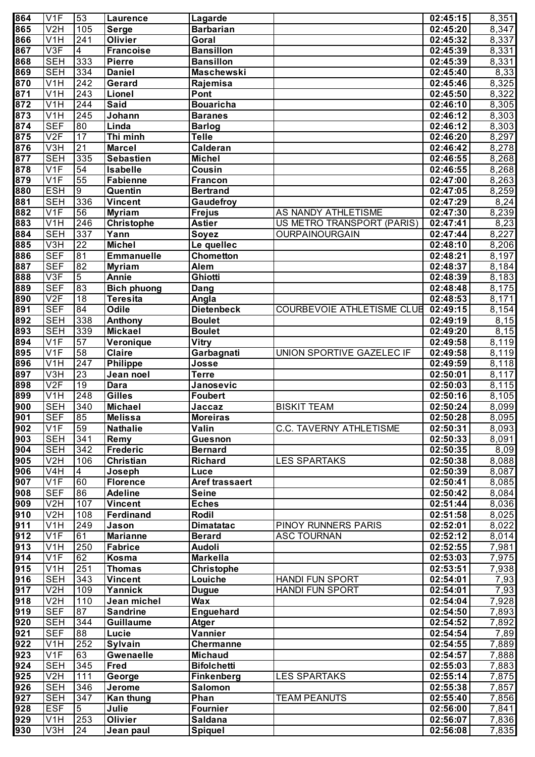| 864              | V1F                     | 53               | <b>Laurence</b>    | Lagarde               |                                   | 02:45:15 | 8,351              |
|------------------|-------------------------|------------------|--------------------|-----------------------|-----------------------------------|----------|--------------------|
| 865              | V <sub>2</sub> H        | 105              | <b>Serge</b>       | <b>Barbarian</b>      |                                   | 02:45:20 | 8,347              |
| 866              | V <sub>1</sub> H        | 241              | Olivier            | Goral                 |                                   | 02:45:32 | 8,337              |
| 867              | V3F                     | $\overline{4}$   | <b>Francoise</b>   | <b>Bansillon</b>      |                                   | 02:45:39 | 8,331              |
| 868              | <b>SEH</b>              | 333              | <b>Pierre</b>      | <b>Bansillon</b>      |                                   | 02:45:39 | 8,331              |
| 869              | <b>SEH</b>              | $\frac{1}{334}$  | <b>Daniel</b>      | Maschewski            |                                   | 02:45:40 | 8,33               |
| 870              | V <sub>1</sub> H        | 242              | Gerard             | Rajemisa              |                                   | 02:45:46 | 8,325              |
| 871              | V <sub>1</sub> H        | $\overline{243}$ | Lionel             | Pont                  |                                   | 02:45:50 | 8,322              |
| 872              | V <sub>1</sub> H        | 244              | <b>Said</b>        | <b>Bouaricha</b>      |                                   | 02:46:10 | 8,305              |
| 873              | V <sub>1</sub> H        | $\overline{245}$ | Johann             | <b>Baranes</b>        |                                   | 02:46:12 | 8,303              |
| 874              | <b>SEF</b>              | 80               | Linda              | <b>Barlog</b>         |                                   | 02:46:12 | 8,303              |
| 875              | V2F                     | $\overline{17}$  | Thi minh           | <b>Telle</b>          |                                   | 02:46:20 | 8,297              |
| 876              | V3H                     | $\overline{21}$  | <b>Marcel</b>      | Calderan              |                                   | 02:46:42 | 8,278              |
| 877              | <b>SEH</b>              | 335              | <b>Sebastien</b>   | <b>Michel</b>         |                                   | 02:46:55 | 8,268              |
| 878              | V1F                     | $\overline{54}$  | Isabelle           | Cousin                |                                   | 02:46:55 | 8,268              |
| 879              | V1F                     | 55               | <b>Fabienne</b>    | <b>Francon</b>        |                                   | 02:47:00 | 8,263              |
| 880              | <b>ESH</b>              | $\overline{9}$   | Quentin            | <b>Bertrand</b>       |                                   | 02:47:05 | 8,259              |
| 881              | <b>SEH</b>              | 336              | <b>Vincent</b>     | Gaudefroy             |                                   | 02:47:29 | 8,24               |
| 882              | V1F                     | 56               | <b>Myriam</b>      | <b>Frejus</b>         | AS NANDY ATHLETISME               | 02:47:30 | 8,239              |
| 883              | V <sub>1</sub> H        | 246              | Christophe         | <b>Astier</b>         | US METRO TRANSPORT (PARIS)        | 02:47:41 | $\overline{8,}23$  |
| 884              | <b>SEH</b>              | 337              | Yann               | Soyez                 | OURPAINOURGAIN                    | 02:47:44 | 8,227              |
| 885              | V3H                     | $\overline{22}$  | <b>Michel</b>      | Le quellec            |                                   | 02:48:10 | 8,206              |
| 886              | <b>SEF</b>              | 81               | <b>Emmanuelle</b>  | Chometton             |                                   | 02:48:21 | 8,197              |
| 887              | <b>SEF</b>              | 82               | <b>Myriam</b>      | Alem                  |                                   | 02:48:37 | $\overline{8,}184$ |
| 888              | V3F                     | $\overline{5}$   | <b>Annie</b>       | Ghiotti               |                                   | 02:48:39 | 8,183              |
| 889              | <b>SEF</b>              | 83               | <b>Bich phuong</b> | Dang                  |                                   | 02:48:48 | $\overline{8,175}$ |
| 890              | V2F                     | 18               | <b>Teresita</b>    | Angla                 |                                   | 02:48:53 | $\overline{8,171}$ |
| 891              | <b>SEF</b>              | 84               | Odile              | <b>Dietenbeck</b>     | <b>COURBEVOIE ATHLETISME CLUB</b> | 02:49:15 | $\overline{8,154}$ |
| 892              | <b>SEH</b>              | 338              | Anthony            | <b>Boulet</b>         |                                   | 02:49:19 | $\overline{8,15}$  |
| 893              | <b>SEH</b>              | 339              | <b>Mickael</b>     | <b>Boulet</b>         |                                   | 02:49:20 | 8,15               |
| 894              | V1F                     | 57               | Veronique          | Vitry                 |                                   | 02:49:58 | $\overline{8,}119$ |
| 895              | V1F                     | 58               | <b>Claire</b>      | Garbagnati            | UNION SPORTIVE GAZELEC IF         | 02:49:58 | $\overline{8,}119$ |
| 896              | V <sub>1</sub> H        | $\overline{247}$ | <b>Philippe</b>    | Josse                 |                                   | 02:49:59 | $\overline{8,118}$ |
| 897              | V3H                     | $\overline{23}$  | Jean noel          | <b>Terre</b>          |                                   | 02:50:01 | $\overline{8,117}$ |
| 898              | V2F                     | 19               | <b>Dara</b>        | Janosevic             |                                   | 02:50:03 | 8,115              |
| 899              | V1H                     | $\overline{248}$ | <b>Gilles</b>      | Foubert               |                                   | 02:50:16 | 8,105              |
| $\overline{900}$ | <b>SEH</b>              | $\overline{340}$ | <b>Michael</b>     | Jaccaz                | <b>BISKIT TEAM</b>                | 02:50:24 | 8,099              |
| 901              | <b>SEF</b>              | 85               | <b>Melissa</b>     | <b>Moreiras</b>       |                                   | 02:50:28 | 8,095              |
| 902              | V1F                     | 59               | <b>Nathalie</b>    | Valin                 | <b>C.C. TAVERNY ATHLETISME</b>    | 02:50:31 | 8,093              |
| 903              | <b>SEH</b>              | 341              | Remy               | <b>Guesnon</b>        |                                   | 02:50:33 | $\sqrt{8,091}$     |
| 904              | <b>SEH</b>              | $\overline{342}$ | <b>Frederic</b>    | <b>Bernard</b>        |                                   | 02:50:35 | 8,09               |
| 905              | V2H                     | 106              | <b>Christian</b>   | <b>Richard</b>        | <b>LES SPARTAKS</b>               | 02:50:38 | 8,088              |
| 906              | $\overline{\text{V4H}}$ | 4                | Joseph             | Luce                  |                                   | 02:50:39 | 8,087              |
| 907              | V1F                     | 60               | <b>Florence</b>    | <b>Aref trassaert</b> |                                   | 02:50:41 | 8,085              |
| 908              | <b>SEF</b>              | 86               | <b>Adeline</b>     | <b>Seine</b>          |                                   | 02:50:42 | 8,084              |
| 909              | V2H                     | 107              | <b>Vincent</b>     | <b>Eches</b>          |                                   | 02:51:44 | 8,036              |
| $\overline{910}$ | V2H                     | 108              | Ferdinand          | Rodil                 |                                   | 02:51:58 | 8,025              |
| 911              | V1H                     | 249              | Jason              | <b>Dimatatac</b>      | PINOY RUNNERS PARIS               | 02:52:01 | 8,022              |
| $\overline{912}$ | V1F                     | 61               | <b>Marianne</b>    | <b>Berard</b>         | <b>ASC TOURNAN</b>                | 02:52:12 | 8,014              |
| $\overline{913}$ | $\overline{\text{V1H}}$ | 250              | <b>Fabrice</b>     | <b>Audoli</b>         |                                   | 02:52:55 | 7,981              |
| 914              | V1F                     | 62               | Kosma              | <b>Markella</b>       |                                   | 02:53:03 | 7,975              |
| 915              | V <sub>1</sub> H        | 251              | <b>Thomas</b>      | <b>Christophe</b>     |                                   | 02:53:51 | 7,938              |
| 916              | <b>SEH</b>              | 343              | <b>Vincent</b>     | Louiche               | HANDI FUN SPORT                   | 02:54:01 | 7,93               |
| 917              | V2H                     | 109              | Yannick            | <b>Dugue</b>          | <b>HANDI FUN SPORT</b>            | 02:54:01 | 7,93               |
| 918              | V2H                     | 110              | Jean michel        | <b>Wax</b>            |                                   | 02:54:04 | 7,928              |
| 919              | <b>SEF</b>              | 87               | <b>Sandrine</b>    | <b>Enguehard</b>      |                                   | 02:54:50 | 7,893              |
| 920              | <b>SEH</b>              | 344              | <b>Guillaume</b>   | <b>Atger</b>          |                                   | 02:54:52 | 7,892              |
| 921              | <b>SEF</b>              | 88               | Lucie              | Vannier               |                                   | 02:54:54 | 7,89               |
| 922              | V <sub>1</sub> H        | 252              | Sylvain            | Chermanne             |                                   | 02:54:55 | 7,889              |
| 923              | V <sub>1F</sub>         | 63               | <b>Gwenaelle</b>   | <b>Michaud</b>        |                                   | 02:54:57 | 7,888              |
| 924              | <b>SEH</b>              | 345              | <b>Fred</b>        | <b>Bifolchetti</b>    |                                   | 02:55:03 | 7,883              |
| 925              | V2H                     | 111              | George             | <b>Finkenberg</b>     | <b>LES SPARTAKS</b>               | 02:55:14 | 7,875              |
| 926              | <b>SEH</b>              | 346              | Jerome             | Salomon               |                                   | 02:55:38 | 7,857              |
| 927              | <b>SEH</b>              | 347              | Kan thung          | Phan                  | <b>TEAM PEANUTS</b>               | 02:55:40 | 7,856              |
| 928              | <b>ESF</b>              | 5                | Julie              | Fournier              |                                   | 02:56:00 | 7,841              |
| 929              | V <sub>1</sub> H        | 253              | Olivier            | <b>Saldana</b>        |                                   | 02:56:07 | 7,836              |
| 930              | V3H                     | 24               | Jean paul          | Spiquel               |                                   | 02:56:08 | 7,835              |
|                  |                         |                  |                    |                       |                                   |          |                    |